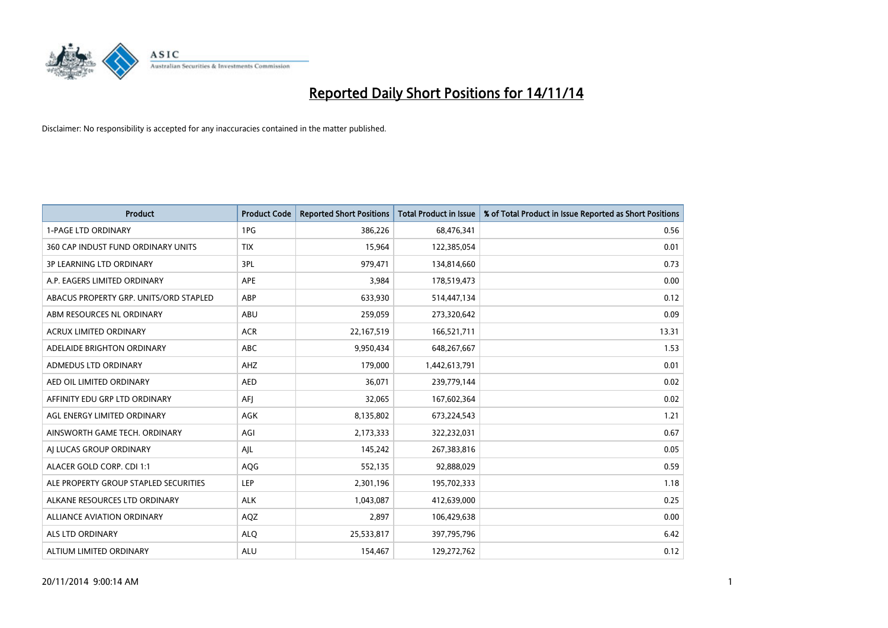

| Product                                | <b>Product Code</b> | <b>Reported Short Positions</b> | <b>Total Product in Issue</b> | % of Total Product in Issue Reported as Short Positions |
|----------------------------------------|---------------------|---------------------------------|-------------------------------|---------------------------------------------------------|
| <b>1-PAGE LTD ORDINARY</b>             | 1PG                 | 386,226                         | 68,476,341                    | 0.56                                                    |
| 360 CAP INDUST FUND ORDINARY UNITS     | <b>TIX</b>          | 15,964                          | 122,385,054                   | 0.01                                                    |
| <b>3P LEARNING LTD ORDINARY</b>        | 3PL                 | 979,471                         | 134,814,660                   | 0.73                                                    |
| A.P. EAGERS LIMITED ORDINARY           | APE                 | 3,984                           | 178,519,473                   | 0.00                                                    |
| ABACUS PROPERTY GRP. UNITS/ORD STAPLED | ABP                 | 633,930                         | 514,447,134                   | 0.12                                                    |
| ABM RESOURCES NL ORDINARY              | <b>ABU</b>          | 259,059                         | 273,320,642                   | 0.09                                                    |
| <b>ACRUX LIMITED ORDINARY</b>          | <b>ACR</b>          | 22,167,519                      | 166,521,711                   | 13.31                                                   |
| ADELAIDE BRIGHTON ORDINARY             | <b>ABC</b>          | 9,950,434                       | 648,267,667                   | 1.53                                                    |
| ADMEDUS LTD ORDINARY                   | AHZ                 | 179,000                         | 1,442,613,791                 | 0.01                                                    |
| AED OIL LIMITED ORDINARY               | <b>AED</b>          | 36,071                          | 239,779,144                   | 0.02                                                    |
| AFFINITY EDU GRP LTD ORDINARY          | AFI                 | 32,065                          | 167,602,364                   | 0.02                                                    |
| AGL ENERGY LIMITED ORDINARY            | AGK                 | 8,135,802                       | 673,224,543                   | 1.21                                                    |
| AINSWORTH GAME TECH. ORDINARY          | AGI                 | 2,173,333                       | 322,232,031                   | 0.67                                                    |
| AI LUCAS GROUP ORDINARY                | AJL                 | 145,242                         | 267,383,816                   | 0.05                                                    |
| ALACER GOLD CORP. CDI 1:1              | AQG                 | 552,135                         | 92,888,029                    | 0.59                                                    |
| ALE PROPERTY GROUP STAPLED SECURITIES  | LEP                 | 2,301,196                       | 195,702,333                   | 1.18                                                    |
| ALKANE RESOURCES LTD ORDINARY          | <b>ALK</b>          | 1,043,087                       | 412,639,000                   | 0.25                                                    |
| ALLIANCE AVIATION ORDINARY             | AQZ                 | 2,897                           | 106,429,638                   | 0.00                                                    |
| ALS LTD ORDINARY                       | <b>ALO</b>          | 25,533,817                      | 397,795,796                   | 6.42                                                    |
| ALTIUM LIMITED ORDINARY                | <b>ALU</b>          | 154,467                         | 129,272,762                   | 0.12                                                    |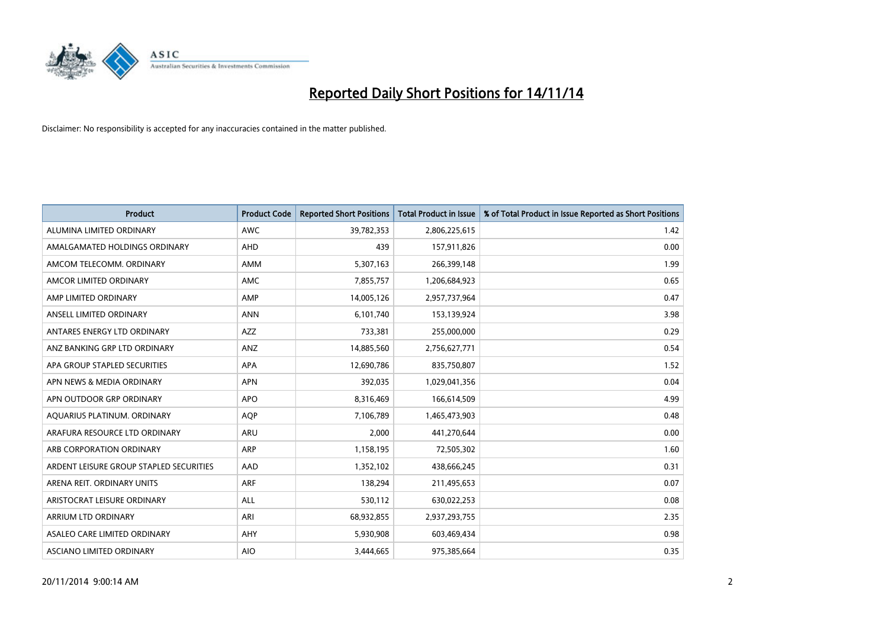

| <b>Product</b>                          | <b>Product Code</b> | <b>Reported Short Positions</b> | <b>Total Product in Issue</b> | % of Total Product in Issue Reported as Short Positions |
|-----------------------------------------|---------------------|---------------------------------|-------------------------------|---------------------------------------------------------|
| ALUMINA LIMITED ORDINARY                | <b>AWC</b>          | 39,782,353                      | 2,806,225,615                 | 1.42                                                    |
| AMALGAMATED HOLDINGS ORDINARY           | AHD                 | 439                             | 157,911,826                   | 0.00                                                    |
| AMCOM TELECOMM, ORDINARY                | AMM                 | 5,307,163                       | 266,399,148                   | 1.99                                                    |
| AMCOR LIMITED ORDINARY                  | AMC                 | 7,855,757                       | 1,206,684,923                 | 0.65                                                    |
| AMP LIMITED ORDINARY                    | AMP                 | 14,005,126                      | 2,957,737,964                 | 0.47                                                    |
| ANSELL LIMITED ORDINARY                 | <b>ANN</b>          | 6,101,740                       | 153,139,924                   | 3.98                                                    |
| ANTARES ENERGY LTD ORDINARY             | <b>AZZ</b>          | 733,381                         | 255,000,000                   | 0.29                                                    |
| ANZ BANKING GRP LTD ORDINARY            | ANZ                 | 14,885,560                      | 2,756,627,771                 | 0.54                                                    |
| APA GROUP STAPLED SECURITIES            | APA                 | 12,690,786                      | 835,750,807                   | 1.52                                                    |
| APN NEWS & MEDIA ORDINARY               | <b>APN</b>          | 392,035                         | 1,029,041,356                 | 0.04                                                    |
| APN OUTDOOR GRP ORDINARY                | <b>APO</b>          | 8,316,469                       | 166,614,509                   | 4.99                                                    |
| AQUARIUS PLATINUM. ORDINARY             | <b>AOP</b>          | 7,106,789                       | 1,465,473,903                 | 0.48                                                    |
| ARAFURA RESOURCE LTD ORDINARY           | ARU                 | 2,000                           | 441,270,644                   | 0.00                                                    |
| ARB CORPORATION ORDINARY                | ARP                 | 1,158,195                       | 72,505,302                    | 1.60                                                    |
| ARDENT LEISURE GROUP STAPLED SECURITIES | AAD                 | 1,352,102                       | 438,666,245                   | 0.31                                                    |
| ARENA REIT. ORDINARY UNITS              | ARF                 | 138,294                         | 211,495,653                   | 0.07                                                    |
| ARISTOCRAT LEISURE ORDINARY             | ALL                 | 530,112                         | 630,022,253                   | 0.08                                                    |
| <b>ARRIUM LTD ORDINARY</b>              | ARI                 | 68,932,855                      | 2,937,293,755                 | 2.35                                                    |
| ASALEO CARE LIMITED ORDINARY            | AHY                 | 5,930,908                       | 603,469,434                   | 0.98                                                    |
| <b>ASCIANO LIMITED ORDINARY</b>         | <b>AIO</b>          | 3,444,665                       | 975,385,664                   | 0.35                                                    |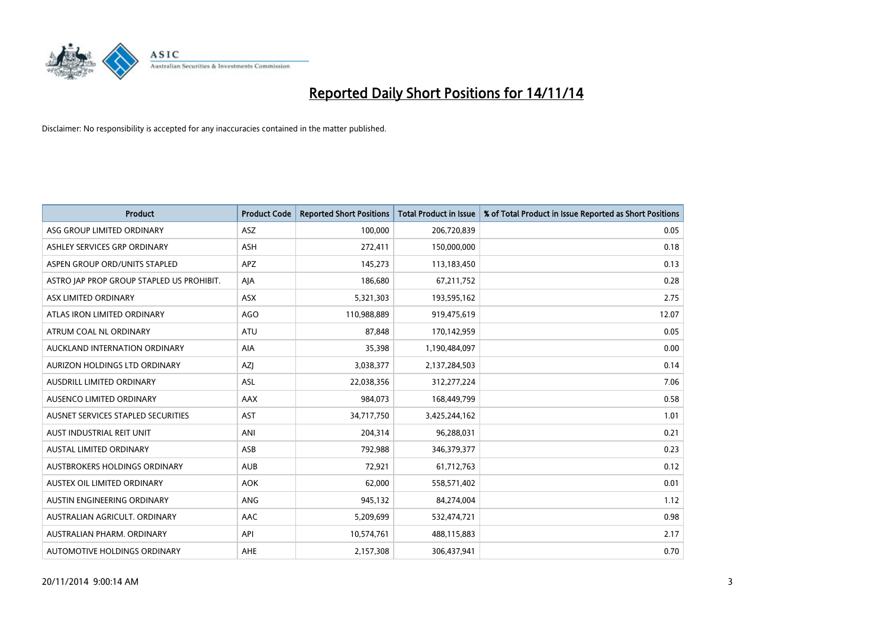

| <b>Product</b>                            | <b>Product Code</b> | <b>Reported Short Positions</b> | <b>Total Product in Issue</b> | % of Total Product in Issue Reported as Short Positions |
|-------------------------------------------|---------------------|---------------------------------|-------------------------------|---------------------------------------------------------|
| ASG GROUP LIMITED ORDINARY                | ASZ                 | 100,000                         | 206,720,839                   | 0.05                                                    |
| ASHLEY SERVICES GRP ORDINARY              | <b>ASH</b>          | 272,411                         | 150,000,000                   | 0.18                                                    |
| ASPEN GROUP ORD/UNITS STAPLED             | APZ                 | 145,273                         | 113,183,450                   | 0.13                                                    |
| ASTRO JAP PROP GROUP STAPLED US PROHIBIT. | AJA                 | 186,680                         | 67,211,752                    | 0.28                                                    |
| ASX LIMITED ORDINARY                      | ASX                 | 5,321,303                       | 193,595,162                   | 2.75                                                    |
| ATLAS IRON LIMITED ORDINARY               | <b>AGO</b>          | 110,988,889                     | 919,475,619                   | 12.07                                                   |
| ATRUM COAL NL ORDINARY                    | <b>ATU</b>          | 87,848                          | 170,142,959                   | 0.05                                                    |
| AUCKLAND INTERNATION ORDINARY             | <b>AIA</b>          | 35,398                          | 1,190,484,097                 | 0.00                                                    |
| AURIZON HOLDINGS LTD ORDINARY             | <b>AZI</b>          | 3,038,377                       | 2,137,284,503                 | 0.14                                                    |
| AUSDRILL LIMITED ORDINARY                 | ASL                 | 22,038,356                      | 312,277,224                   | 7.06                                                    |
| AUSENCO LIMITED ORDINARY                  | AAX                 | 984,073                         | 168,449,799                   | 0.58                                                    |
| AUSNET SERVICES STAPLED SECURITIES        | <b>AST</b>          | 34,717,750                      | 3,425,244,162                 | 1.01                                                    |
| AUST INDUSTRIAL REIT UNIT                 | ANI                 | 204,314                         | 96,288,031                    | 0.21                                                    |
| <b>AUSTAL LIMITED ORDINARY</b>            | ASB                 | 792,988                         | 346,379,377                   | 0.23                                                    |
| AUSTBROKERS HOLDINGS ORDINARY             | <b>AUB</b>          | 72,921                          | 61,712,763                    | 0.12                                                    |
| AUSTEX OIL LIMITED ORDINARY               | <b>AOK</b>          | 62,000                          | 558,571,402                   | 0.01                                                    |
| AUSTIN ENGINEERING ORDINARY               | ANG                 | 945,132                         | 84,274,004                    | 1.12                                                    |
| AUSTRALIAN AGRICULT, ORDINARY             | AAC                 | 5,209,699                       | 532,474,721                   | 0.98                                                    |
| AUSTRALIAN PHARM, ORDINARY                | API                 | 10,574,761                      | 488,115,883                   | 2.17                                                    |
| AUTOMOTIVE HOLDINGS ORDINARY              | AHE                 | 2,157,308                       | 306,437,941                   | 0.70                                                    |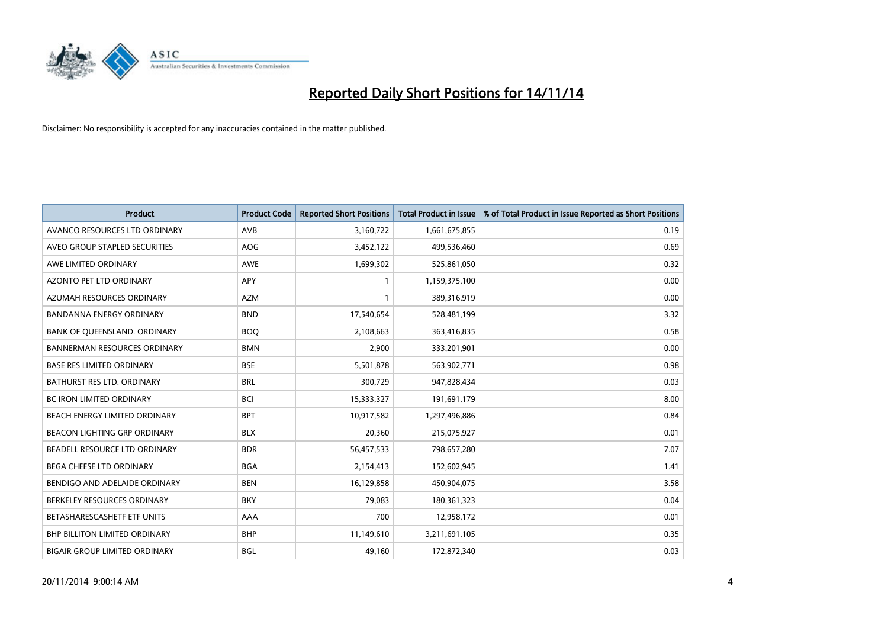

| <b>Product</b>                       | <b>Product Code</b> | <b>Reported Short Positions</b> | <b>Total Product in Issue</b> | % of Total Product in Issue Reported as Short Positions |
|--------------------------------------|---------------------|---------------------------------|-------------------------------|---------------------------------------------------------|
| AVANCO RESOURCES LTD ORDINARY        | AVB                 | 3,160,722                       | 1,661,675,855                 | 0.19                                                    |
| AVEO GROUP STAPLED SECURITIES        | AOG                 | 3,452,122                       | 499,536,460                   | 0.69                                                    |
| AWE LIMITED ORDINARY                 | AWE                 | 1,699,302                       | 525,861,050                   | 0.32                                                    |
| <b>AZONTO PET LTD ORDINARY</b>       | APY                 | 1                               | 1,159,375,100                 | 0.00                                                    |
| AZUMAH RESOURCES ORDINARY            | <b>AZM</b>          | 1                               | 389,316,919                   | 0.00                                                    |
| <b>BANDANNA ENERGY ORDINARY</b>      | <b>BND</b>          | 17,540,654                      | 528,481,199                   | 3.32                                                    |
| BANK OF QUEENSLAND. ORDINARY         | <b>BOO</b>          | 2,108,663                       | 363,416,835                   | 0.58                                                    |
| <b>BANNERMAN RESOURCES ORDINARY</b>  | <b>BMN</b>          | 2,900                           | 333,201,901                   | 0.00                                                    |
| <b>BASE RES LIMITED ORDINARY</b>     | <b>BSE</b>          | 5,501,878                       | 563,902,771                   | 0.98                                                    |
| <b>BATHURST RES LTD. ORDINARY</b>    | <b>BRL</b>          | 300,729                         | 947,828,434                   | 0.03                                                    |
| BC IRON LIMITED ORDINARY             | <b>BCI</b>          | 15,333,327                      | 191,691,179                   | 8.00                                                    |
| BEACH ENERGY LIMITED ORDINARY        | <b>BPT</b>          | 10,917,582                      | 1,297,496,886                 | 0.84                                                    |
| <b>BEACON LIGHTING GRP ORDINARY</b>  | <b>BLX</b>          | 20,360                          | 215,075,927                   | 0.01                                                    |
| BEADELL RESOURCE LTD ORDINARY        | <b>BDR</b>          | 56,457,533                      | 798,657,280                   | 7.07                                                    |
| <b>BEGA CHEESE LTD ORDINARY</b>      | <b>BGA</b>          | 2,154,413                       | 152,602,945                   | 1.41                                                    |
| BENDIGO AND ADELAIDE ORDINARY        | <b>BEN</b>          | 16,129,858                      | 450,904,075                   | 3.58                                                    |
| BERKELEY RESOURCES ORDINARY          | <b>BKY</b>          | 79,083                          | 180,361,323                   | 0.04                                                    |
| BETASHARESCASHETF ETF UNITS          | AAA                 | 700                             | 12,958,172                    | 0.01                                                    |
| <b>BHP BILLITON LIMITED ORDINARY</b> | <b>BHP</b>          | 11,149,610                      | 3,211,691,105                 | 0.35                                                    |
| <b>BIGAIR GROUP LIMITED ORDINARY</b> | <b>BGL</b>          | 49,160                          | 172,872,340                   | 0.03                                                    |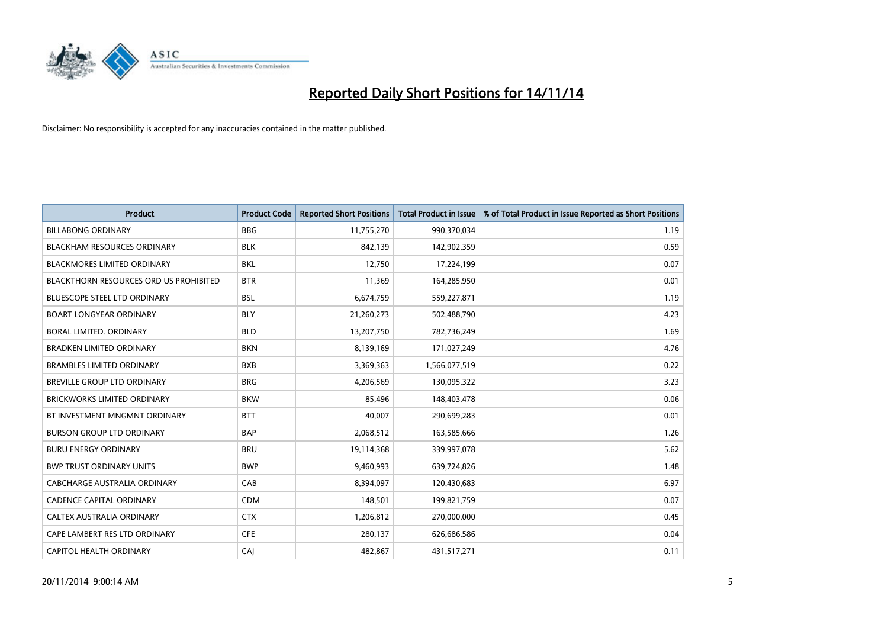

| <b>Product</b>                                | <b>Product Code</b> | <b>Reported Short Positions</b> | <b>Total Product in Issue</b> | % of Total Product in Issue Reported as Short Positions |
|-----------------------------------------------|---------------------|---------------------------------|-------------------------------|---------------------------------------------------------|
| <b>BILLABONG ORDINARY</b>                     | <b>BBG</b>          | 11,755,270                      | 990,370,034                   | 1.19                                                    |
| <b>BLACKHAM RESOURCES ORDINARY</b>            | <b>BLK</b>          | 842,139                         | 142,902,359                   | 0.59                                                    |
| <b>BLACKMORES LIMITED ORDINARY</b>            | <b>BKL</b>          | 12,750                          | 17,224,199                    | 0.07                                                    |
| <b>BLACKTHORN RESOURCES ORD US PROHIBITED</b> | <b>BTR</b>          | 11,369                          | 164,285,950                   | 0.01                                                    |
| <b>BLUESCOPE STEEL LTD ORDINARY</b>           | <b>BSL</b>          | 6,674,759                       | 559,227,871                   | 1.19                                                    |
| <b>BOART LONGYEAR ORDINARY</b>                | <b>BLY</b>          | 21,260,273                      | 502,488,790                   | 4.23                                                    |
| BORAL LIMITED, ORDINARY                       | <b>BLD</b>          | 13,207,750                      | 782,736,249                   | 1.69                                                    |
| <b>BRADKEN LIMITED ORDINARY</b>               | <b>BKN</b>          | 8,139,169                       | 171,027,249                   | 4.76                                                    |
| <b>BRAMBLES LIMITED ORDINARY</b>              | <b>BXB</b>          | 3,369,363                       | 1,566,077,519                 | 0.22                                                    |
| <b>BREVILLE GROUP LTD ORDINARY</b>            | <b>BRG</b>          | 4,206,569                       | 130,095,322                   | 3.23                                                    |
| BRICKWORKS LIMITED ORDINARY                   | <b>BKW</b>          | 85,496                          | 148,403,478                   | 0.06                                                    |
| BT INVESTMENT MNGMNT ORDINARY                 | <b>BTT</b>          | 40,007                          | 290,699,283                   | 0.01                                                    |
| <b>BURSON GROUP LTD ORDINARY</b>              | <b>BAP</b>          | 2,068,512                       | 163,585,666                   | 1.26                                                    |
| <b>BURU ENERGY ORDINARY</b>                   | <b>BRU</b>          | 19,114,368                      | 339,997,078                   | 5.62                                                    |
| <b>BWP TRUST ORDINARY UNITS</b>               | <b>BWP</b>          | 9,460,993                       | 639,724,826                   | 1.48                                                    |
| <b>CABCHARGE AUSTRALIA ORDINARY</b>           | CAB                 | 8,394,097                       | 120,430,683                   | 6.97                                                    |
| <b>CADENCE CAPITAL ORDINARY</b>               | <b>CDM</b>          | 148,501                         | 199,821,759                   | 0.07                                                    |
| CALTEX AUSTRALIA ORDINARY                     | <b>CTX</b>          | 1,206,812                       | 270,000,000                   | 0.45                                                    |
| CAPE LAMBERT RES LTD ORDINARY                 | <b>CFE</b>          | 280,137                         | 626,686,586                   | 0.04                                                    |
| <b>CAPITOL HEALTH ORDINARY</b>                | CAJ                 | 482,867                         | 431,517,271                   | 0.11                                                    |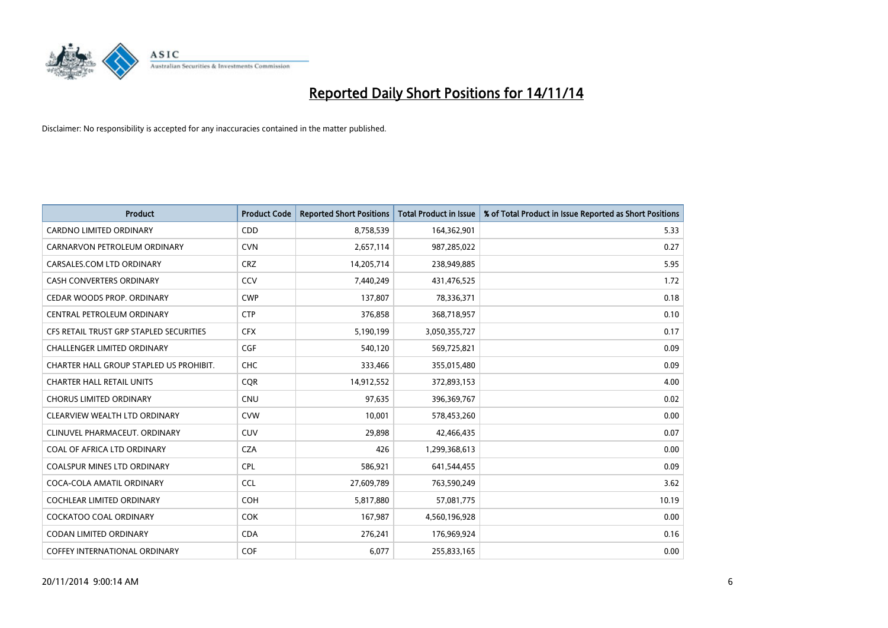

| Product                                 | <b>Product Code</b> | <b>Reported Short Positions</b> | <b>Total Product in Issue</b> | % of Total Product in Issue Reported as Short Positions |
|-----------------------------------------|---------------------|---------------------------------|-------------------------------|---------------------------------------------------------|
| <b>CARDNO LIMITED ORDINARY</b>          | CDD                 | 8,758,539                       | 164,362,901                   | 5.33                                                    |
| CARNARVON PETROLEUM ORDINARY            | <b>CVN</b>          | 2,657,114                       | 987,285,022                   | 0.27                                                    |
| CARSALES.COM LTD ORDINARY               | <b>CRZ</b>          | 14,205,714                      | 238,949,885                   | 5.95                                                    |
| CASH CONVERTERS ORDINARY                | CCV                 | 7,440,249                       | 431,476,525                   | 1.72                                                    |
| CEDAR WOODS PROP. ORDINARY              | <b>CWP</b>          | 137,807                         | 78,336,371                    | 0.18                                                    |
| CENTRAL PETROLEUM ORDINARY              | <b>CTP</b>          | 376,858                         | 368,718,957                   | 0.10                                                    |
| CFS RETAIL TRUST GRP STAPLED SECURITIES | <b>CFX</b>          | 5,190,199                       | 3,050,355,727                 | 0.17                                                    |
| <b>CHALLENGER LIMITED ORDINARY</b>      | <b>CGF</b>          | 540,120                         | 569,725,821                   | 0.09                                                    |
| CHARTER HALL GROUP STAPLED US PROHIBIT. | <b>CHC</b>          | 333,466                         | 355,015,480                   | 0.09                                                    |
| <b>CHARTER HALL RETAIL UNITS</b>        | <b>COR</b>          | 14,912,552                      | 372,893,153                   | 4.00                                                    |
| <b>CHORUS LIMITED ORDINARY</b>          | <b>CNU</b>          | 97,635                          | 396,369,767                   | 0.02                                                    |
| CLEARVIEW WEALTH LTD ORDINARY           | <b>CVW</b>          | 10,001                          | 578,453,260                   | 0.00                                                    |
| CLINUVEL PHARMACEUT. ORDINARY           | <b>CUV</b>          | 29,898                          | 42,466,435                    | 0.07                                                    |
| COAL OF AFRICA LTD ORDINARY             | <b>CZA</b>          | 426                             | 1,299,368,613                 | 0.00                                                    |
| <b>COALSPUR MINES LTD ORDINARY</b>      | <b>CPL</b>          | 586,921                         | 641,544,455                   | 0.09                                                    |
| COCA-COLA AMATIL ORDINARY               | <b>CCL</b>          | 27,609,789                      | 763,590,249                   | 3.62                                                    |
| COCHLEAR LIMITED ORDINARY               | <b>COH</b>          | 5,817,880                       | 57,081,775                    | 10.19                                                   |
| <b>COCKATOO COAL ORDINARY</b>           | <b>COK</b>          | 167,987                         | 4,560,196,928                 | 0.00                                                    |
| <b>CODAN LIMITED ORDINARY</b>           | <b>CDA</b>          | 276,241                         | 176,969,924                   | 0.16                                                    |
| <b>COFFEY INTERNATIONAL ORDINARY</b>    | <b>COF</b>          | 6,077                           | 255,833,165                   | 0.00                                                    |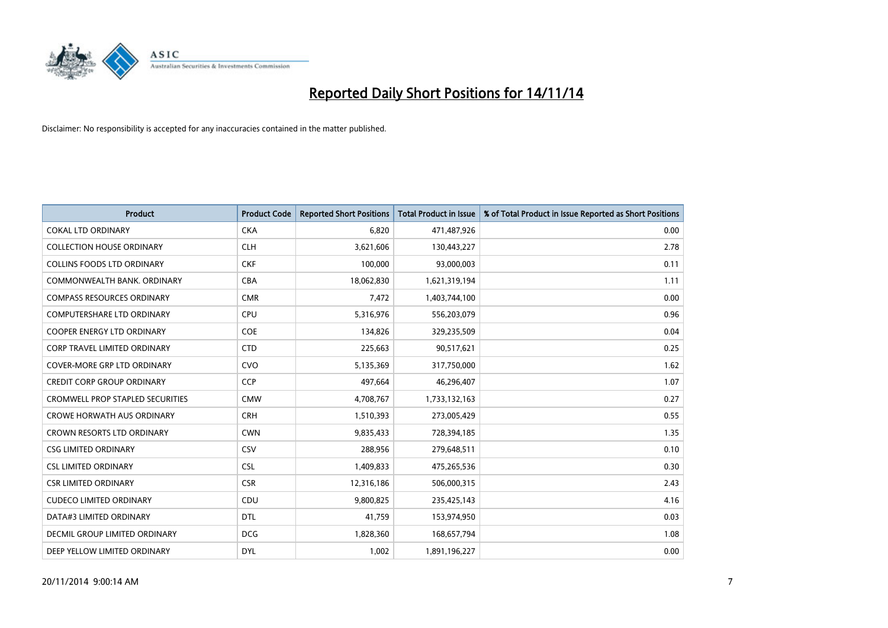

| <b>Product</b>                          | <b>Product Code</b> | <b>Reported Short Positions</b> | <b>Total Product in Issue</b> | % of Total Product in Issue Reported as Short Positions |
|-----------------------------------------|---------------------|---------------------------------|-------------------------------|---------------------------------------------------------|
| <b>COKAL LTD ORDINARY</b>               | <b>CKA</b>          | 6.820                           | 471,487,926                   | 0.00                                                    |
| <b>COLLECTION HOUSE ORDINARY</b>        | <b>CLH</b>          | 3,621,606                       | 130,443,227                   | 2.78                                                    |
| <b>COLLINS FOODS LTD ORDINARY</b>       | <b>CKF</b>          | 100,000                         | 93,000,003                    | 0.11                                                    |
| COMMONWEALTH BANK, ORDINARY             | <b>CBA</b>          | 18,062,830                      | 1,621,319,194                 | 1.11                                                    |
| <b>COMPASS RESOURCES ORDINARY</b>       | <b>CMR</b>          | 7,472                           | 1,403,744,100                 | 0.00                                                    |
| <b>COMPUTERSHARE LTD ORDINARY</b>       | CPU                 | 5,316,976                       | 556,203,079                   | 0.96                                                    |
| <b>COOPER ENERGY LTD ORDINARY</b>       | <b>COE</b>          | 134,826                         | 329,235,509                   | 0.04                                                    |
| <b>CORP TRAVEL LIMITED ORDINARY</b>     | <b>CTD</b>          | 225,663                         | 90,517,621                    | 0.25                                                    |
| <b>COVER-MORE GRP LTD ORDINARY</b>      | <b>CVO</b>          | 5,135,369                       | 317,750,000                   | 1.62                                                    |
| <b>CREDIT CORP GROUP ORDINARY</b>       | <b>CCP</b>          | 497,664                         | 46,296,407                    | 1.07                                                    |
| <b>CROMWELL PROP STAPLED SECURITIES</b> | <b>CMW</b>          | 4,708,767                       | 1,733,132,163                 | 0.27                                                    |
| <b>CROWE HORWATH AUS ORDINARY</b>       | <b>CRH</b>          | 1,510,393                       | 273,005,429                   | 0.55                                                    |
| CROWN RESORTS LTD ORDINARY              | <b>CWN</b>          | 9,835,433                       | 728,394,185                   | 1.35                                                    |
| <b>CSG LIMITED ORDINARY</b>             | CSV                 | 288,956                         | 279,648,511                   | 0.10                                                    |
| <b>CSL LIMITED ORDINARY</b>             | <b>CSL</b>          | 1,409,833                       | 475,265,536                   | 0.30                                                    |
| <b>CSR LIMITED ORDINARY</b>             | <b>CSR</b>          | 12,316,186                      | 506,000,315                   | 2.43                                                    |
| <b>CUDECO LIMITED ORDINARY</b>          | CDU                 | 9,800,825                       | 235,425,143                   | 4.16                                                    |
| DATA#3 LIMITED ORDINARY                 | <b>DTL</b>          | 41,759                          | 153,974,950                   | 0.03                                                    |
| DECMIL GROUP LIMITED ORDINARY           | <b>DCG</b>          | 1,828,360                       | 168,657,794                   | 1.08                                                    |
| DEEP YELLOW LIMITED ORDINARY            | <b>DYL</b>          | 1,002                           | 1,891,196,227                 | 0.00                                                    |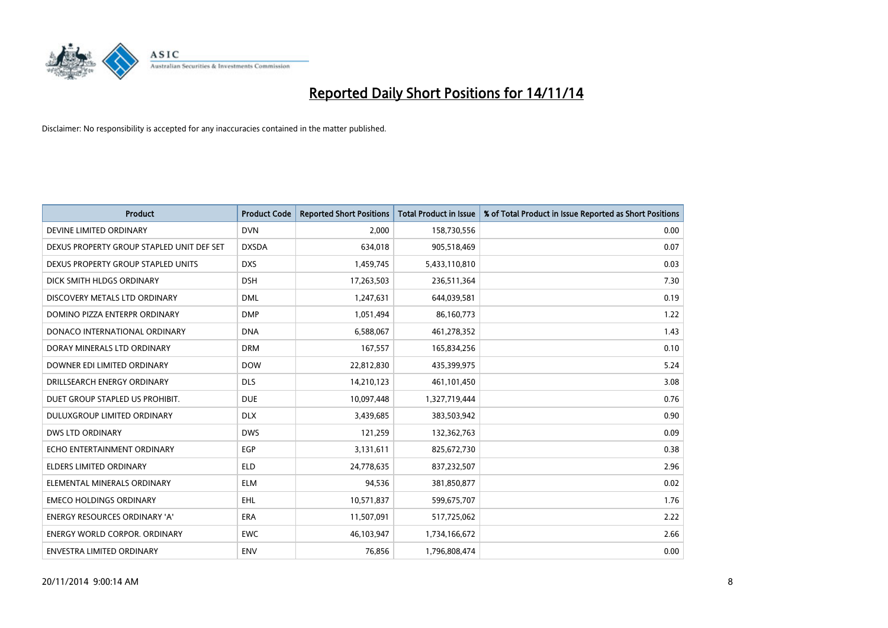

| <b>Product</b>                            | <b>Product Code</b> | <b>Reported Short Positions</b> | <b>Total Product in Issue</b> | % of Total Product in Issue Reported as Short Positions |
|-------------------------------------------|---------------------|---------------------------------|-------------------------------|---------------------------------------------------------|
| DEVINE LIMITED ORDINARY                   | <b>DVN</b>          | 2,000                           | 158,730,556                   | 0.00                                                    |
| DEXUS PROPERTY GROUP STAPLED UNIT DEF SET | <b>DXSDA</b>        | 634,018                         | 905,518,469                   | 0.07                                                    |
| DEXUS PROPERTY GROUP STAPLED UNITS        | <b>DXS</b>          | 1,459,745                       | 5,433,110,810                 | 0.03                                                    |
| DICK SMITH HLDGS ORDINARY                 | <b>DSH</b>          | 17,263,503                      | 236,511,364                   | 7.30                                                    |
| DISCOVERY METALS LTD ORDINARY             | <b>DML</b>          | 1,247,631                       | 644,039,581                   | 0.19                                                    |
| DOMINO PIZZA ENTERPR ORDINARY             | <b>DMP</b>          | 1,051,494                       | 86,160,773                    | 1.22                                                    |
| DONACO INTERNATIONAL ORDINARY             | <b>DNA</b>          | 6,588,067                       | 461,278,352                   | 1.43                                                    |
| DORAY MINERALS LTD ORDINARY               | <b>DRM</b>          | 167,557                         | 165,834,256                   | 0.10                                                    |
| DOWNER EDI LIMITED ORDINARY               | <b>DOW</b>          | 22,812,830                      | 435,399,975                   | 5.24                                                    |
| DRILLSEARCH ENERGY ORDINARY               | <b>DLS</b>          | 14,210,123                      | 461,101,450                   | 3.08                                                    |
| DUET GROUP STAPLED US PROHIBIT.           | <b>DUE</b>          | 10,097,448                      | 1,327,719,444                 | 0.76                                                    |
| DULUXGROUP LIMITED ORDINARY               | <b>DLX</b>          | 3,439,685                       | 383,503,942                   | 0.90                                                    |
| <b>DWS LTD ORDINARY</b>                   | <b>DWS</b>          | 121,259                         | 132,362,763                   | 0.09                                                    |
| ECHO ENTERTAINMENT ORDINARY               | EGP                 | 3,131,611                       | 825,672,730                   | 0.38                                                    |
| <b>ELDERS LIMITED ORDINARY</b>            | <b>ELD</b>          | 24,778,635                      | 837,232,507                   | 2.96                                                    |
| ELEMENTAL MINERALS ORDINARY               | <b>ELM</b>          | 94,536                          | 381,850,877                   | 0.02                                                    |
| <b>EMECO HOLDINGS ORDINARY</b>            | EHL                 | 10,571,837                      | 599,675,707                   | 1.76                                                    |
| ENERGY RESOURCES ORDINARY 'A'             | <b>ERA</b>          | 11,507,091                      | 517,725,062                   | 2.22                                                    |
| <b>ENERGY WORLD CORPOR, ORDINARY</b>      | <b>EWC</b>          | 46,103,947                      | 1,734,166,672                 | 2.66                                                    |
| ENVESTRA LIMITED ORDINARY                 | <b>ENV</b>          | 76,856                          | 1,796,808,474                 | 0.00                                                    |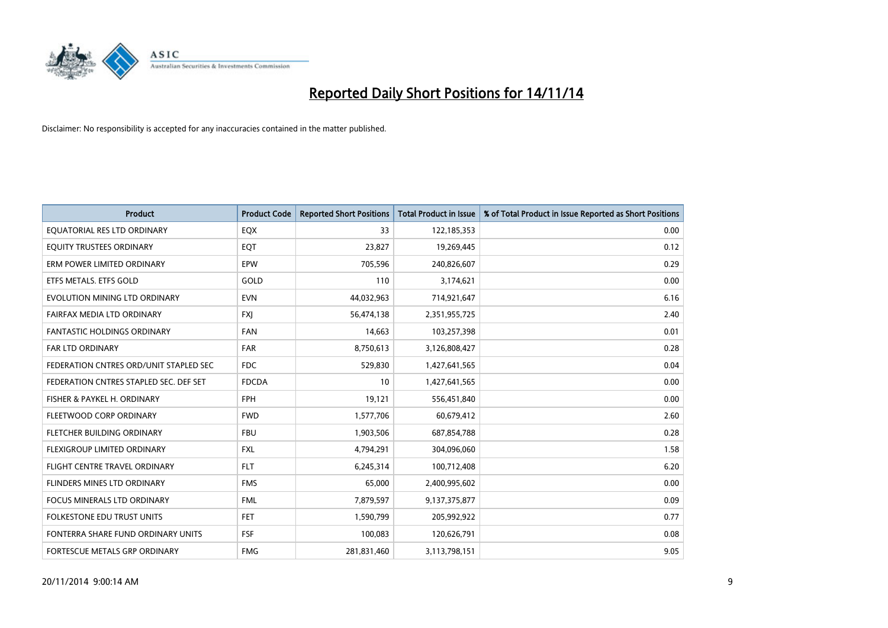

| <b>Product</b>                         | <b>Product Code</b> | <b>Reported Short Positions</b> | <b>Total Product in Issue</b> | % of Total Product in Issue Reported as Short Positions |
|----------------------------------------|---------------------|---------------------------------|-------------------------------|---------------------------------------------------------|
| EQUATORIAL RES LTD ORDINARY            | EQX                 | 33                              | 122,185,353                   | 0.00                                                    |
| EQUITY TRUSTEES ORDINARY               | EQT                 | 23,827                          | 19,269,445                    | 0.12                                                    |
| ERM POWER LIMITED ORDINARY             | EPW                 | 705,596                         | 240,826,607                   | 0.29                                                    |
| ETFS METALS. ETFS GOLD                 | GOLD                | 110                             | 3,174,621                     | 0.00                                                    |
| EVOLUTION MINING LTD ORDINARY          | <b>EVN</b>          | 44,032,963                      | 714,921,647                   | 6.16                                                    |
| FAIRFAX MEDIA LTD ORDINARY             | <b>FXI</b>          | 56,474,138                      | 2,351,955,725                 | 2.40                                                    |
| <b>FANTASTIC HOLDINGS ORDINARY</b>     | <b>FAN</b>          | 14,663                          | 103,257,398                   | 0.01                                                    |
| <b>FAR LTD ORDINARY</b>                | <b>FAR</b>          | 8,750,613                       | 3,126,808,427                 | 0.28                                                    |
| FEDERATION CNTRES ORD/UNIT STAPLED SEC | FDC.                | 529,830                         | 1,427,641,565                 | 0.04                                                    |
| FEDERATION CNTRES STAPLED SEC. DEF SET | <b>FDCDA</b>        | 10                              | 1,427,641,565                 | 0.00                                                    |
| FISHER & PAYKEL H. ORDINARY            | <b>FPH</b>          | 19,121                          | 556,451,840                   | 0.00                                                    |
| FLEETWOOD CORP ORDINARY                | <b>FWD</b>          | 1,577,706                       | 60,679,412                    | 2.60                                                    |
| FLETCHER BUILDING ORDINARY             | <b>FBU</b>          | 1,903,506                       | 687,854,788                   | 0.28                                                    |
| FLEXIGROUP LIMITED ORDINARY            | <b>FXL</b>          | 4,794,291                       | 304,096,060                   | 1.58                                                    |
| FLIGHT CENTRE TRAVEL ORDINARY          | <b>FLT</b>          | 6,245,314                       | 100,712,408                   | 6.20                                                    |
| FLINDERS MINES LTD ORDINARY            | <b>FMS</b>          | 65,000                          | 2,400,995,602                 | 0.00                                                    |
| FOCUS MINERALS LTD ORDINARY            | <b>FML</b>          | 7,879,597                       | 9,137,375,877                 | 0.09                                                    |
| <b>FOLKESTONE EDU TRUST UNITS</b>      | <b>FET</b>          | 1,590,799                       | 205,992,922                   | 0.77                                                    |
| FONTERRA SHARE FUND ORDINARY UNITS     | <b>FSF</b>          | 100,083                         | 120,626,791                   | 0.08                                                    |
| FORTESCUE METALS GRP ORDINARY          | <b>FMG</b>          | 281,831,460                     | 3,113,798,151                 | 9.05                                                    |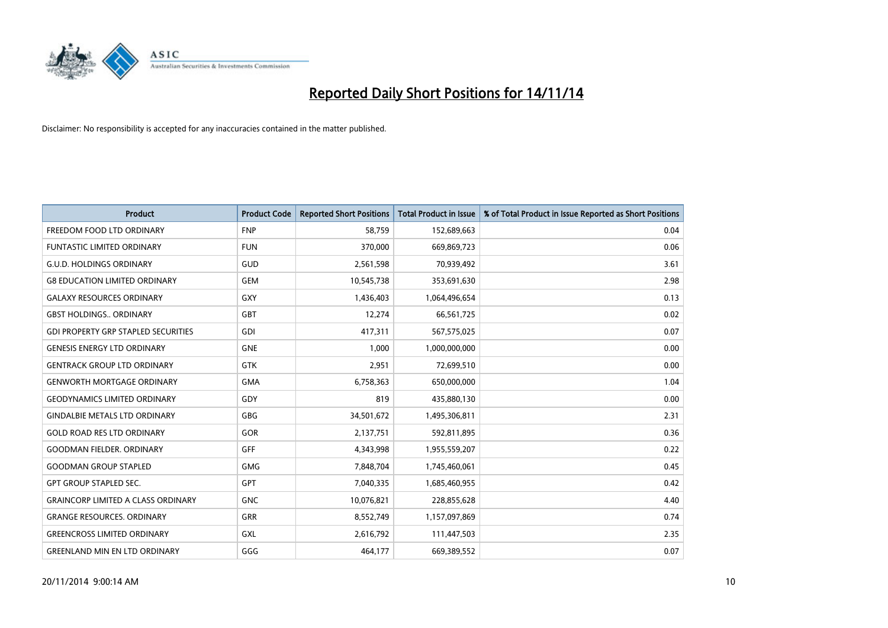

| <b>Product</b>                             | <b>Product Code</b> | <b>Reported Short Positions</b> | <b>Total Product in Issue</b> | % of Total Product in Issue Reported as Short Positions |
|--------------------------------------------|---------------------|---------------------------------|-------------------------------|---------------------------------------------------------|
| FREEDOM FOOD LTD ORDINARY                  | <b>FNP</b>          | 58,759                          | 152,689,663                   | 0.04                                                    |
| FUNTASTIC LIMITED ORDINARY                 | <b>FUN</b>          | 370,000                         | 669,869,723                   | 0.06                                                    |
| <b>G.U.D. HOLDINGS ORDINARY</b>            | GUD                 | 2,561,598                       | 70,939,492                    | 3.61                                                    |
| <b>G8 EDUCATION LIMITED ORDINARY</b>       | <b>GEM</b>          | 10,545,738                      | 353,691,630                   | 2.98                                                    |
| <b>GALAXY RESOURCES ORDINARY</b>           | GXY                 | 1,436,403                       | 1,064,496,654                 | 0.13                                                    |
| <b>GBST HOLDINGS., ORDINARY</b>            | <b>GBT</b>          | 12,274                          | 66,561,725                    | 0.02                                                    |
| <b>GDI PROPERTY GRP STAPLED SECURITIES</b> | <b>GDI</b>          | 417,311                         | 567,575,025                   | 0.07                                                    |
| <b>GENESIS ENERGY LTD ORDINARY</b>         | <b>GNE</b>          | 1,000                           | 1,000,000,000                 | 0.00                                                    |
| <b>GENTRACK GROUP LTD ORDINARY</b>         | <b>GTK</b>          | 2,951                           | 72,699,510                    | 0.00                                                    |
| <b>GENWORTH MORTGAGE ORDINARY</b>          | <b>GMA</b>          | 6,758,363                       | 650,000,000                   | 1.04                                                    |
| <b>GEODYNAMICS LIMITED ORDINARY</b>        | GDY                 | 819                             | 435,880,130                   | 0.00                                                    |
| <b>GINDALBIE METALS LTD ORDINARY</b>       | GBG                 | 34,501,672                      | 1,495,306,811                 | 2.31                                                    |
| <b>GOLD ROAD RES LTD ORDINARY</b>          | GOR                 | 2,137,751                       | 592,811,895                   | 0.36                                                    |
| <b>GOODMAN FIELDER, ORDINARY</b>           | GFF                 | 4,343,998                       | 1,955,559,207                 | 0.22                                                    |
| <b>GOODMAN GROUP STAPLED</b>               | <b>GMG</b>          | 7,848,704                       | 1,745,460,061                 | 0.45                                                    |
| <b>GPT GROUP STAPLED SEC.</b>              | <b>GPT</b>          | 7,040,335                       | 1,685,460,955                 | 0.42                                                    |
| <b>GRAINCORP LIMITED A CLASS ORDINARY</b>  | <b>GNC</b>          | 10,076,821                      | 228,855,628                   | 4.40                                                    |
| <b>GRANGE RESOURCES. ORDINARY</b>          | GRR                 | 8,552,749                       | 1,157,097,869                 | 0.74                                                    |
| <b>GREENCROSS LIMITED ORDINARY</b>         | GXL                 | 2,616,792                       | 111,447,503                   | 2.35                                                    |
| <b>GREENLAND MIN EN LTD ORDINARY</b>       | GGG                 | 464,177                         | 669,389,552                   | 0.07                                                    |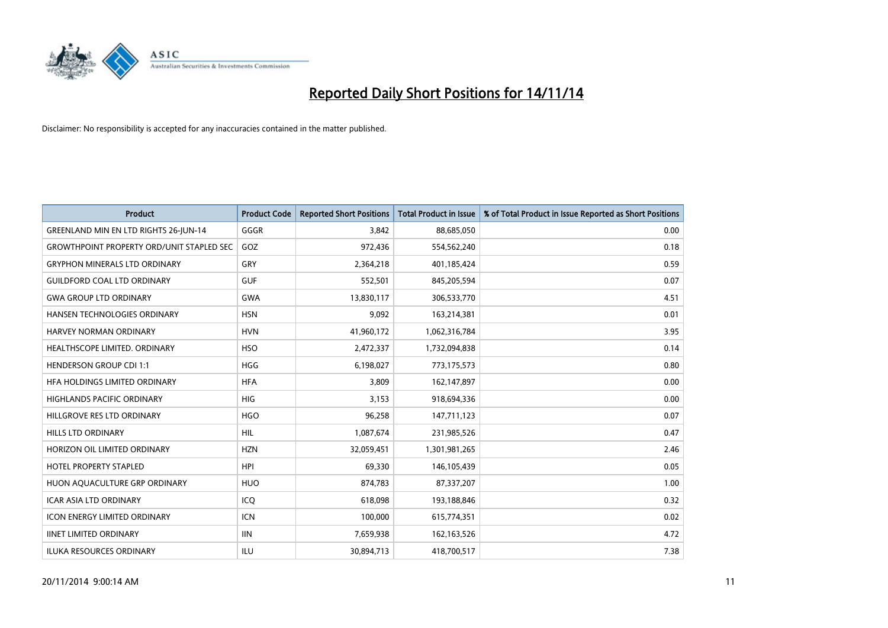

| <b>Product</b>                                   | <b>Product Code</b> | <b>Reported Short Positions</b> | <b>Total Product in Issue</b> | % of Total Product in Issue Reported as Short Positions |
|--------------------------------------------------|---------------------|---------------------------------|-------------------------------|---------------------------------------------------------|
| <b>GREENLAND MIN EN LTD RIGHTS 26-JUN-14</b>     | GGGR                | 3,842                           | 88,685,050                    | 0.00                                                    |
| <b>GROWTHPOINT PROPERTY ORD/UNIT STAPLED SEC</b> | GOZ                 | 972,436                         | 554,562,240                   | 0.18                                                    |
| <b>GRYPHON MINERALS LTD ORDINARY</b>             | GRY                 | 2,364,218                       | 401,185,424                   | 0.59                                                    |
| <b>GUILDFORD COAL LTD ORDINARY</b>               | <b>GUF</b>          | 552,501                         | 845,205,594                   | 0.07                                                    |
| <b>GWA GROUP LTD ORDINARY</b>                    | <b>GWA</b>          | 13,830,117                      | 306,533,770                   | 4.51                                                    |
| HANSEN TECHNOLOGIES ORDINARY                     | <b>HSN</b>          | 9,092                           | 163,214,381                   | 0.01                                                    |
| <b>HARVEY NORMAN ORDINARY</b>                    | <b>HVN</b>          | 41,960,172                      | 1,062,316,784                 | 3.95                                                    |
| HEALTHSCOPE LIMITED. ORDINARY                    | <b>HSO</b>          | 2,472,337                       | 1,732,094,838                 | 0.14                                                    |
| HENDERSON GROUP CDI 1:1                          | <b>HGG</b>          | 6,198,027                       | 773,175,573                   | 0.80                                                    |
| HFA HOLDINGS LIMITED ORDINARY                    | <b>HFA</b>          | 3.809                           | 162,147,897                   | 0.00                                                    |
| <b>HIGHLANDS PACIFIC ORDINARY</b>                | <b>HIG</b>          | 3,153                           | 918,694,336                   | 0.00                                                    |
| HILLGROVE RES LTD ORDINARY                       | <b>HGO</b>          | 96,258                          | 147,711,123                   | 0.07                                                    |
| <b>HILLS LTD ORDINARY</b>                        | <b>HIL</b>          | 1,087,674                       | 231,985,526                   | 0.47                                                    |
| HORIZON OIL LIMITED ORDINARY                     | <b>HZN</b>          | 32,059,451                      | 1,301,981,265                 | 2.46                                                    |
| HOTEL PROPERTY STAPLED                           | <b>HPI</b>          | 69,330                          | 146, 105, 439                 | 0.05                                                    |
| HUON AQUACULTURE GRP ORDINARY                    | <b>HUO</b>          | 874,783                         | 87,337,207                    | 1.00                                                    |
| <b>ICAR ASIA LTD ORDINARY</b>                    | ICQ                 | 618,098                         | 193,188,846                   | 0.32                                                    |
| <b>ICON ENERGY LIMITED ORDINARY</b>              | <b>ICN</b>          | 100,000                         | 615,774,351                   | 0.02                                                    |
| <b>IINET LIMITED ORDINARY</b>                    | <b>IIN</b>          | 7,659,938                       | 162, 163, 526                 | 4.72                                                    |
| <b>ILUKA RESOURCES ORDINARY</b>                  | ILU                 | 30.894.713                      | 418,700,517                   | 7.38                                                    |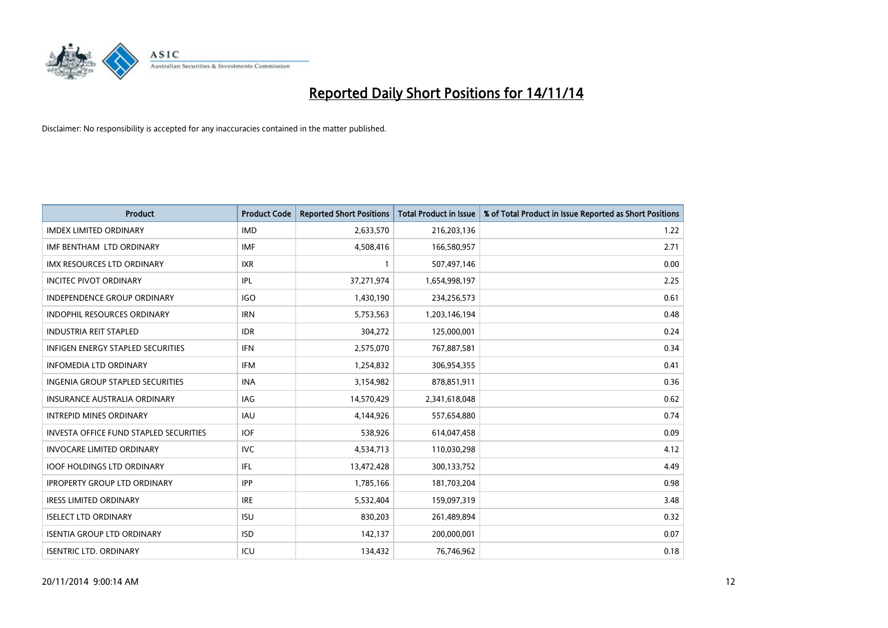

| <b>Product</b>                                | <b>Product Code</b> | <b>Reported Short Positions</b> | <b>Total Product in Issue</b> | % of Total Product in Issue Reported as Short Positions |
|-----------------------------------------------|---------------------|---------------------------------|-------------------------------|---------------------------------------------------------|
| <b>IMDEX LIMITED ORDINARY</b>                 | <b>IMD</b>          | 2,633,570                       | 216,203,136                   | 1.22                                                    |
| IMF BENTHAM LTD ORDINARY                      | <b>IMF</b>          | 4,508,416                       | 166,580,957                   | 2.71                                                    |
| <b>IMX RESOURCES LTD ORDINARY</b>             | <b>IXR</b>          | $\mathbf{1}$                    | 507,497,146                   | 0.00                                                    |
| <b>INCITEC PIVOT ORDINARY</b>                 | IPL                 | 37,271,974                      | 1,654,998,197                 | 2.25                                                    |
| <b>INDEPENDENCE GROUP ORDINARY</b>            | <b>IGO</b>          | 1,430,190                       | 234,256,573                   | 0.61                                                    |
| <b>INDOPHIL RESOURCES ORDINARY</b>            | <b>IRN</b>          | 5,753,563                       | 1,203,146,194                 | 0.48                                                    |
| <b>INDUSTRIA REIT STAPLED</b>                 | <b>IDR</b>          | 304,272                         | 125,000,001                   | 0.24                                                    |
| <b>INFIGEN ENERGY STAPLED SECURITIES</b>      | <b>IFN</b>          | 2,575,070                       | 767,887,581                   | 0.34                                                    |
| INFOMEDIA LTD ORDINARY                        | <b>IFM</b>          | 1,254,832                       | 306,954,355                   | 0.41                                                    |
| <b>INGENIA GROUP STAPLED SECURITIES</b>       | <b>INA</b>          | 3,154,982                       | 878,851,911                   | 0.36                                                    |
| <b>INSURANCE AUSTRALIA ORDINARY</b>           | IAG                 | 14,570,429                      | 2,341,618,048                 | 0.62                                                    |
| <b>INTREPID MINES ORDINARY</b>                | IAU                 | 4,144,926                       | 557,654,880                   | 0.74                                                    |
| <b>INVESTA OFFICE FUND STAPLED SECURITIES</b> | <b>IOF</b>          | 538,926                         | 614,047,458                   | 0.09                                                    |
| <b>INVOCARE LIMITED ORDINARY</b>              | <b>IVC</b>          | 4,534,713                       | 110,030,298                   | 4.12                                                    |
| <b>IOOF HOLDINGS LTD ORDINARY</b>             | IFL                 | 13,472,428                      | 300,133,752                   | 4.49                                                    |
| <b>IPROPERTY GROUP LTD ORDINARY</b>           | <b>IPP</b>          | 1,785,166                       | 181,703,204                   | 0.98                                                    |
| <b>IRESS LIMITED ORDINARY</b>                 | <b>IRE</b>          | 5,532,404                       | 159,097,319                   | 3.48                                                    |
| <b>ISELECT LTD ORDINARY</b>                   | <b>ISU</b>          | 830,203                         | 261,489,894                   | 0.32                                                    |
| <b>ISENTIA GROUP LTD ORDINARY</b>             | <b>ISD</b>          | 142,137                         | 200,000,001                   | 0.07                                                    |
| <b>ISENTRIC LTD. ORDINARY</b>                 | ICU                 | 134,432                         | 76,746,962                    | 0.18                                                    |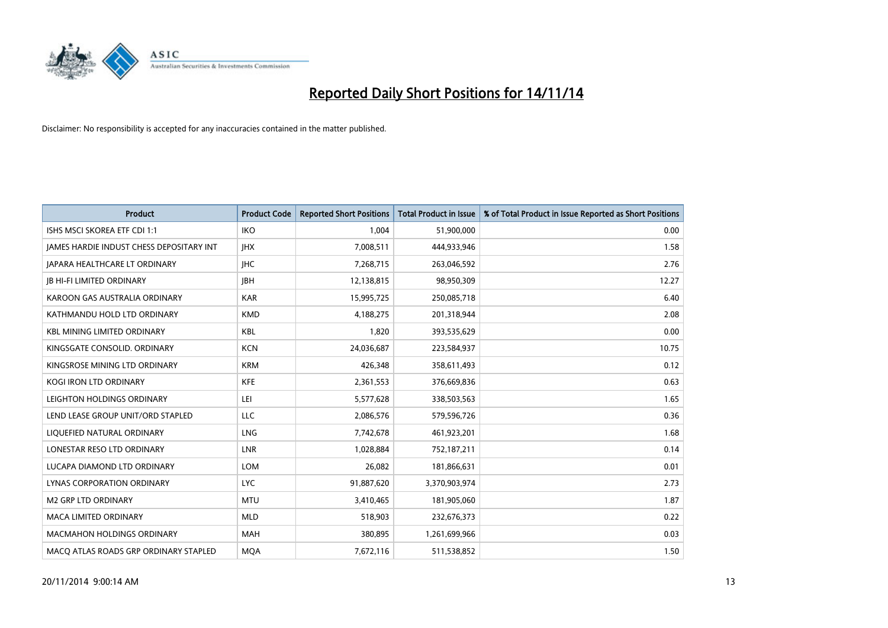

| <b>Product</b>                           | <b>Product Code</b> | <b>Reported Short Positions</b> | <b>Total Product in Issue</b> | % of Total Product in Issue Reported as Short Positions |
|------------------------------------------|---------------------|---------------------------------|-------------------------------|---------------------------------------------------------|
| ISHS MSCI SKOREA ETF CDI 1:1             | <b>IKO</b>          | 1,004                           | 51,900,000                    | 0.00                                                    |
| JAMES HARDIE INDUST CHESS DEPOSITARY INT | <b>IHX</b>          | 7,008,511                       | 444,933,946                   | 1.58                                                    |
| <b>JAPARA HEALTHCARE LT ORDINARY</b>     | <b>IHC</b>          | 7,268,715                       | 263,046,592                   | 2.76                                                    |
| <b>JB HI-FI LIMITED ORDINARY</b>         | <b>IBH</b>          | 12,138,815                      | 98,950,309                    | 12.27                                                   |
| KAROON GAS AUSTRALIA ORDINARY            | <b>KAR</b>          | 15,995,725                      | 250,085,718                   | 6.40                                                    |
| KATHMANDU HOLD LTD ORDINARY              | <b>KMD</b>          | 4,188,275                       | 201,318,944                   | 2.08                                                    |
| <b>KBL MINING LIMITED ORDINARY</b>       | <b>KBL</b>          | 1,820                           | 393,535,629                   | 0.00                                                    |
| KINGSGATE CONSOLID. ORDINARY             | <b>KCN</b>          | 24,036,687                      | 223,584,937                   | 10.75                                                   |
| KINGSROSE MINING LTD ORDINARY            | <b>KRM</b>          | 426,348                         | 358,611,493                   | 0.12                                                    |
| <b>KOGI IRON LTD ORDINARY</b>            | <b>KFE</b>          | 2,361,553                       | 376,669,836                   | 0.63                                                    |
| LEIGHTON HOLDINGS ORDINARY               | LEI                 | 5,577,628                       | 338,503,563                   | 1.65                                                    |
| LEND LEASE GROUP UNIT/ORD STAPLED        | LLC                 | 2,086,576                       | 579,596,726                   | 0.36                                                    |
| LIQUEFIED NATURAL ORDINARY               | <b>LNG</b>          | 7,742,678                       | 461,923,201                   | 1.68                                                    |
| LONESTAR RESO LTD ORDINARY               | <b>LNR</b>          | 1,028,884                       | 752,187,211                   | 0.14                                                    |
| LUCAPA DIAMOND LTD ORDINARY              | <b>LOM</b>          | 26,082                          | 181,866,631                   | 0.01                                                    |
| LYNAS CORPORATION ORDINARY               | <b>LYC</b>          | 91,887,620                      | 3,370,903,974                 | 2.73                                                    |
| <b>M2 GRP LTD ORDINARY</b>               | <b>MTU</b>          | 3,410,465                       | 181,905,060                   | 1.87                                                    |
| <b>MACA LIMITED ORDINARY</b>             | <b>MLD</b>          | 518,903                         | 232,676,373                   | 0.22                                                    |
| <b>MACMAHON HOLDINGS ORDINARY</b>        | <b>MAH</b>          | 380,895                         | 1,261,699,966                 | 0.03                                                    |
| MACO ATLAS ROADS GRP ORDINARY STAPLED    | <b>MQA</b>          | 7,672,116                       | 511,538,852                   | 1.50                                                    |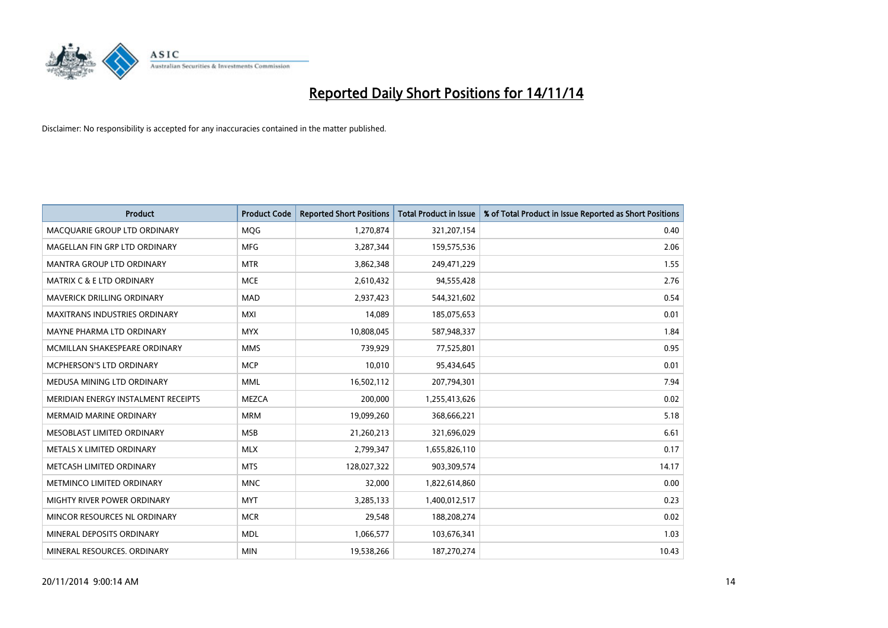

| <b>Product</b>                       | <b>Product Code</b> | <b>Reported Short Positions</b> | <b>Total Product in Issue</b> | % of Total Product in Issue Reported as Short Positions |
|--------------------------------------|---------------------|---------------------------------|-------------------------------|---------------------------------------------------------|
| MACQUARIE GROUP LTD ORDINARY         | MQG                 | 1,270,874                       | 321,207,154                   | 0.40                                                    |
| MAGELLAN FIN GRP LTD ORDINARY        | <b>MFG</b>          | 3,287,344                       | 159,575,536                   | 2.06                                                    |
| <b>MANTRA GROUP LTD ORDINARY</b>     | <b>MTR</b>          | 3,862,348                       | 249,471,229                   | 1.55                                                    |
| <b>MATRIX C &amp; E LTD ORDINARY</b> | <b>MCE</b>          | 2,610,432                       | 94,555,428                    | 2.76                                                    |
| MAVERICK DRILLING ORDINARY           | <b>MAD</b>          | 2,937,423                       | 544,321,602                   | 0.54                                                    |
| <b>MAXITRANS INDUSTRIES ORDINARY</b> | <b>MXI</b>          | 14,089                          | 185,075,653                   | 0.01                                                    |
| MAYNE PHARMA LTD ORDINARY            | <b>MYX</b>          | 10,808,045                      | 587,948,337                   | 1.84                                                    |
| MCMILLAN SHAKESPEARE ORDINARY        | <b>MMS</b>          | 739,929                         | 77,525,801                    | 0.95                                                    |
| <b>MCPHERSON'S LTD ORDINARY</b>      | <b>MCP</b>          | 10,010                          | 95,434,645                    | 0.01                                                    |
| MEDUSA MINING LTD ORDINARY           | <b>MML</b>          | 16,502,112                      | 207,794,301                   | 7.94                                                    |
| MERIDIAN ENERGY INSTALMENT RECEIPTS  | <b>MEZCA</b>        | 200,000                         | 1,255,413,626                 | 0.02                                                    |
| <b>MERMAID MARINE ORDINARY</b>       | <b>MRM</b>          | 19,099,260                      | 368,666,221                   | 5.18                                                    |
| MESOBLAST LIMITED ORDINARY           | <b>MSB</b>          | 21,260,213                      | 321,696,029                   | 6.61                                                    |
| METALS X LIMITED ORDINARY            | <b>MLX</b>          | 2,799,347                       | 1,655,826,110                 | 0.17                                                    |
| METCASH LIMITED ORDINARY             | <b>MTS</b>          | 128,027,322                     | 903,309,574                   | 14.17                                                   |
| METMINCO LIMITED ORDINARY            | <b>MNC</b>          | 32,000                          | 1,822,614,860                 | 0.00                                                    |
| MIGHTY RIVER POWER ORDINARY          | <b>MYT</b>          | 3,285,133                       | 1,400,012,517                 | 0.23                                                    |
| MINCOR RESOURCES NL ORDINARY         | <b>MCR</b>          | 29,548                          | 188,208,274                   | 0.02                                                    |
| MINERAL DEPOSITS ORDINARY            | <b>MDL</b>          | 1,066,577                       | 103,676,341                   | 1.03                                                    |
| MINERAL RESOURCES. ORDINARY          | <b>MIN</b>          | 19,538,266                      | 187,270,274                   | 10.43                                                   |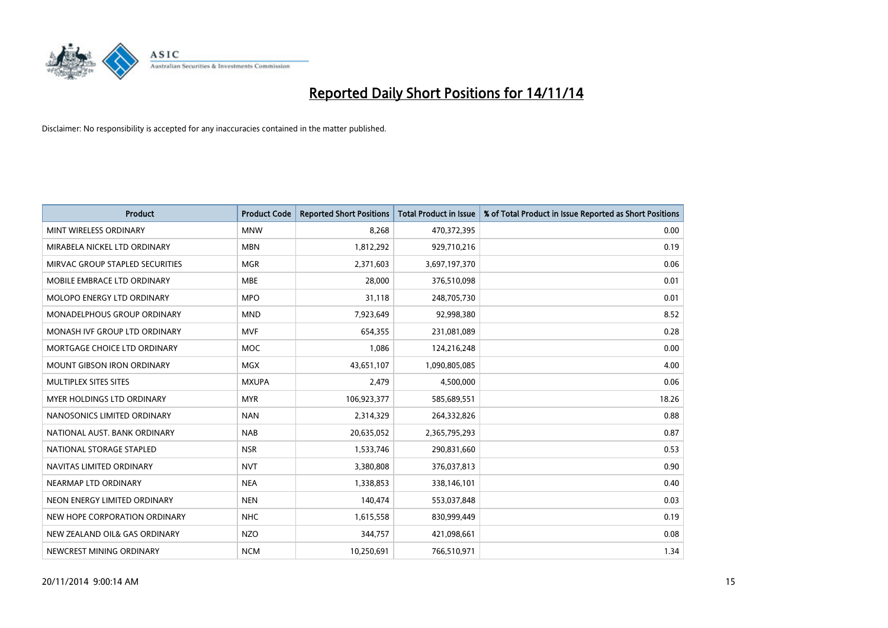

| <b>Product</b>                  | <b>Product Code</b> | <b>Reported Short Positions</b> | <b>Total Product in Issue</b> | % of Total Product in Issue Reported as Short Positions |
|---------------------------------|---------------------|---------------------------------|-------------------------------|---------------------------------------------------------|
| MINT WIRELESS ORDINARY          | <b>MNW</b>          | 8,268                           | 470,372,395                   | 0.00                                                    |
| MIRABELA NICKEL LTD ORDINARY    | <b>MBN</b>          | 1,812,292                       | 929,710,216                   | 0.19                                                    |
| MIRVAC GROUP STAPLED SECURITIES | <b>MGR</b>          | 2,371,603                       | 3,697,197,370                 | 0.06                                                    |
| MOBILE EMBRACE LTD ORDINARY     | <b>MBE</b>          | 28,000                          | 376,510,098                   | 0.01                                                    |
| MOLOPO ENERGY LTD ORDINARY      | <b>MPO</b>          | 31,118                          | 248,705,730                   | 0.01                                                    |
| MONADELPHOUS GROUP ORDINARY     | <b>MND</b>          | 7,923,649                       | 92,998,380                    | 8.52                                                    |
| MONASH IVF GROUP LTD ORDINARY   | <b>MVF</b>          | 654,355                         | 231,081,089                   | 0.28                                                    |
| MORTGAGE CHOICE LTD ORDINARY    | <b>MOC</b>          | 1,086                           | 124,216,248                   | 0.00                                                    |
| MOUNT GIBSON IRON ORDINARY      | <b>MGX</b>          | 43,651,107                      | 1,090,805,085                 | 4.00                                                    |
| MULTIPLEX SITES SITES           | <b>MXUPA</b>        | 2,479                           | 4,500,000                     | 0.06                                                    |
| MYER HOLDINGS LTD ORDINARY      | <b>MYR</b>          | 106,923,377                     | 585,689,551                   | 18.26                                                   |
| NANOSONICS LIMITED ORDINARY     | <b>NAN</b>          | 2,314,329                       | 264,332,826                   | 0.88                                                    |
| NATIONAL AUST. BANK ORDINARY    | <b>NAB</b>          | 20,635,052                      | 2,365,795,293                 | 0.87                                                    |
| NATIONAL STORAGE STAPLED        | <b>NSR</b>          | 1,533,746                       | 290,831,660                   | 0.53                                                    |
| NAVITAS LIMITED ORDINARY        | <b>NVT</b>          | 3,380,808                       | 376,037,813                   | 0.90                                                    |
| NEARMAP LTD ORDINARY            | <b>NEA</b>          | 1,338,853                       | 338,146,101                   | 0.40                                                    |
| NEON ENERGY LIMITED ORDINARY    | <b>NEN</b>          | 140,474                         | 553,037,848                   | 0.03                                                    |
| NEW HOPE CORPORATION ORDINARY   | <b>NHC</b>          | 1,615,558                       | 830,999,449                   | 0.19                                                    |
| NEW ZEALAND OIL& GAS ORDINARY   | <b>NZO</b>          | 344,757                         | 421,098,661                   | 0.08                                                    |
| NEWCREST MINING ORDINARY        | <b>NCM</b>          | 10,250,691                      | 766,510,971                   | 1.34                                                    |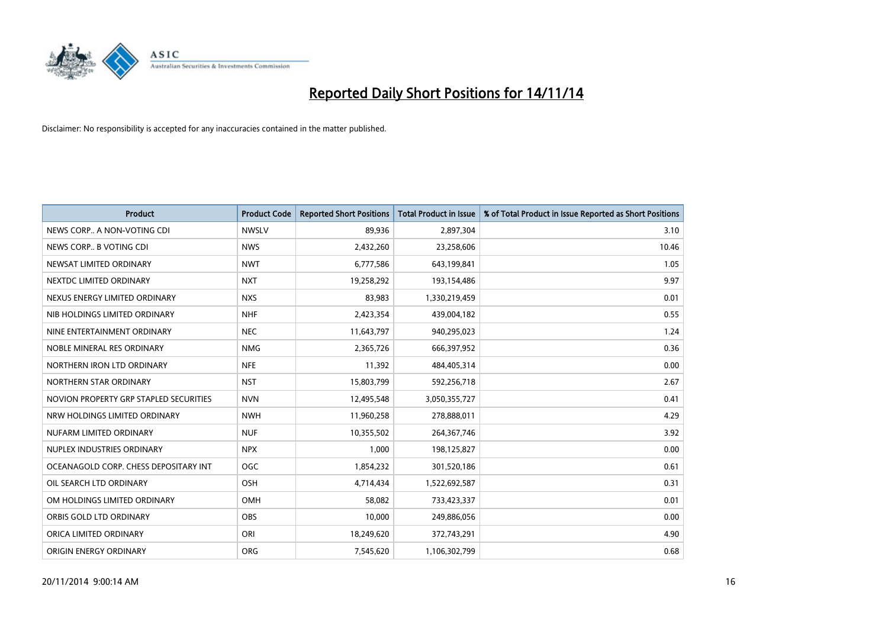

| <b>Product</b>                         | <b>Product Code</b> | <b>Reported Short Positions</b> | <b>Total Product in Issue</b> | % of Total Product in Issue Reported as Short Positions |
|----------------------------------------|---------------------|---------------------------------|-------------------------------|---------------------------------------------------------|
| NEWS CORP A NON-VOTING CDI             | <b>NWSLV</b>        | 89,936                          | 2,897,304                     | 3.10                                                    |
| NEWS CORP B VOTING CDI                 | <b>NWS</b>          | 2,432,260                       | 23,258,606                    | 10.46                                                   |
| NEWSAT LIMITED ORDINARY                | <b>NWT</b>          | 6,777,586                       | 643,199,841                   | 1.05                                                    |
| NEXTDC LIMITED ORDINARY                | <b>NXT</b>          | 19,258,292                      | 193,154,486                   | 9.97                                                    |
| NEXUS ENERGY LIMITED ORDINARY          | <b>NXS</b>          | 83,983                          | 1,330,219,459                 | 0.01                                                    |
| NIB HOLDINGS LIMITED ORDINARY          | <b>NHF</b>          | 2,423,354                       | 439,004,182                   | 0.55                                                    |
| NINE ENTERTAINMENT ORDINARY            | <b>NEC</b>          | 11,643,797                      | 940,295,023                   | 1.24                                                    |
| NOBLE MINERAL RES ORDINARY             | <b>NMG</b>          | 2,365,726                       | 666,397,952                   | 0.36                                                    |
| NORTHERN IRON LTD ORDINARY             | <b>NFE</b>          | 11,392                          | 484,405,314                   | 0.00                                                    |
| NORTHERN STAR ORDINARY                 | <b>NST</b>          | 15,803,799                      | 592,256,718                   | 2.67                                                    |
| NOVION PROPERTY GRP STAPLED SECURITIES | <b>NVN</b>          | 12,495,548                      | 3,050,355,727                 | 0.41                                                    |
| NRW HOLDINGS LIMITED ORDINARY          | <b>NWH</b>          | 11,960,258                      | 278,888,011                   | 4.29                                                    |
| NUFARM LIMITED ORDINARY                | <b>NUF</b>          | 10,355,502                      | 264, 367, 746                 | 3.92                                                    |
| NUPLEX INDUSTRIES ORDINARY             | <b>NPX</b>          | 1,000                           | 198,125,827                   | 0.00                                                    |
| OCEANAGOLD CORP. CHESS DEPOSITARY INT  | <b>OGC</b>          | 1,854,232                       | 301,520,186                   | 0.61                                                    |
| OIL SEARCH LTD ORDINARY                | OSH                 | 4,714,434                       | 1,522,692,587                 | 0.31                                                    |
| OM HOLDINGS LIMITED ORDINARY           | OMH                 | 58,082                          | 733,423,337                   | 0.01                                                    |
| ORBIS GOLD LTD ORDINARY                | <b>OBS</b>          | 10,000                          | 249,886,056                   | 0.00                                                    |
| ORICA LIMITED ORDINARY                 | ORI                 | 18,249,620                      | 372,743,291                   | 4.90                                                    |
| ORIGIN ENERGY ORDINARY                 | <b>ORG</b>          | 7,545,620                       | 1,106,302,799                 | 0.68                                                    |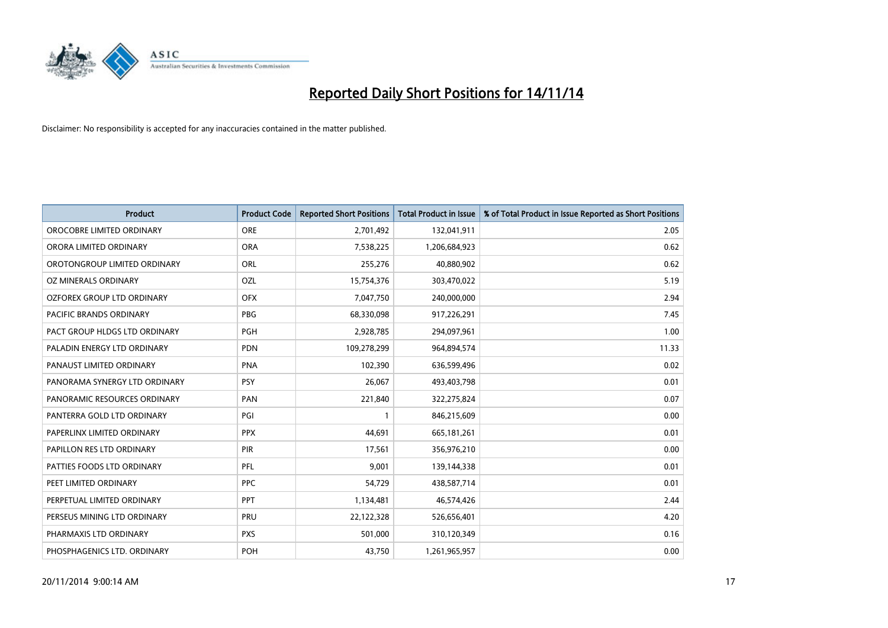

| <b>Product</b>                 | <b>Product Code</b> | <b>Reported Short Positions</b> | <b>Total Product in Issue</b> | % of Total Product in Issue Reported as Short Positions |
|--------------------------------|---------------------|---------------------------------|-------------------------------|---------------------------------------------------------|
| OROCOBRE LIMITED ORDINARY      | <b>ORE</b>          | 2,701,492                       | 132,041,911                   | 2.05                                                    |
| ORORA LIMITED ORDINARY         | <b>ORA</b>          | 7,538,225                       | 1,206,684,923                 | 0.62                                                    |
| OROTONGROUP LIMITED ORDINARY   | <b>ORL</b>          | 255,276                         | 40,880,902                    | 0.62                                                    |
| OZ MINERALS ORDINARY           | OZL                 | 15,754,376                      | 303,470,022                   | 5.19                                                    |
| OZFOREX GROUP LTD ORDINARY     | <b>OFX</b>          | 7,047,750                       | 240,000,000                   | 2.94                                                    |
| <b>PACIFIC BRANDS ORDINARY</b> | <b>PBG</b>          | 68,330,098                      | 917,226,291                   | 7.45                                                    |
| PACT GROUP HLDGS LTD ORDINARY  | <b>PGH</b>          | 2,928,785                       | 294,097,961                   | 1.00                                                    |
| PALADIN ENERGY LTD ORDINARY    | <b>PDN</b>          | 109,278,299                     | 964,894,574                   | 11.33                                                   |
| PANAUST LIMITED ORDINARY       | <b>PNA</b>          | 102,390                         | 636,599,496                   | 0.02                                                    |
| PANORAMA SYNERGY LTD ORDINARY  | <b>PSY</b>          | 26,067                          | 493,403,798                   | 0.01                                                    |
| PANORAMIC RESOURCES ORDINARY   | PAN                 | 221,840                         | 322,275,824                   | 0.07                                                    |
| PANTERRA GOLD LTD ORDINARY     | PGI                 | $\mathbf{1}$                    | 846,215,609                   | 0.00                                                    |
| PAPERLINX LIMITED ORDINARY     | <b>PPX</b>          | 44,691                          | 665,181,261                   | 0.01                                                    |
| PAPILLON RES LTD ORDINARY      | PIR                 | 17,561                          | 356,976,210                   | 0.00                                                    |
| PATTIES FOODS LTD ORDINARY     | PFL                 | 9,001                           | 139,144,338                   | 0.01                                                    |
| PEET LIMITED ORDINARY          | <b>PPC</b>          | 54,729                          | 438,587,714                   | 0.01                                                    |
| PERPETUAL LIMITED ORDINARY     | PPT                 | 1,134,481                       | 46,574,426                    | 2.44                                                    |
| PERSEUS MINING LTD ORDINARY    | <b>PRU</b>          | 22,122,328                      | 526,656,401                   | 4.20                                                    |
| PHARMAXIS LTD ORDINARY         | <b>PXS</b>          | 501,000                         | 310,120,349                   | 0.16                                                    |
| PHOSPHAGENICS LTD. ORDINARY    | POH                 | 43,750                          | 1,261,965,957                 | 0.00                                                    |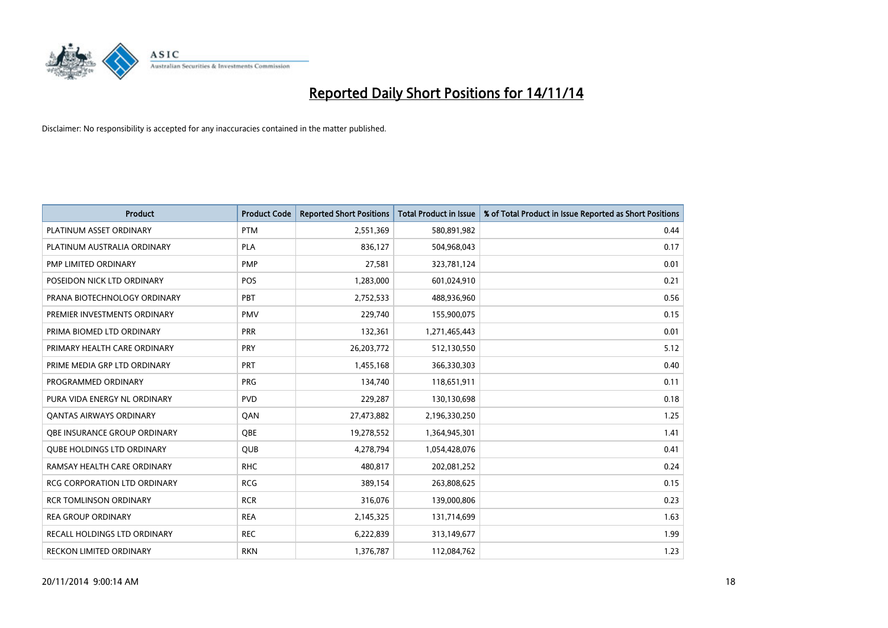

| <b>Product</b>                    | <b>Product Code</b> | <b>Reported Short Positions</b> | Total Product in Issue | % of Total Product in Issue Reported as Short Positions |
|-----------------------------------|---------------------|---------------------------------|------------------------|---------------------------------------------------------|
| PLATINUM ASSET ORDINARY           | <b>PTM</b>          | 2,551,369                       | 580,891,982            | 0.44                                                    |
| PLATINUM AUSTRALIA ORDINARY       | <b>PLA</b>          | 836,127                         | 504,968,043            | 0.17                                                    |
| <b>PMP LIMITED ORDINARY</b>       | <b>PMP</b>          | 27,581                          | 323,781,124            | 0.01                                                    |
| POSEIDON NICK LTD ORDINARY        | <b>POS</b>          | 1,283,000                       | 601,024,910            | 0.21                                                    |
| PRANA BIOTECHNOLOGY ORDINARY      | <b>PBT</b>          | 2,752,533                       | 488,936,960            | 0.56                                                    |
| PREMIER INVESTMENTS ORDINARY      | <b>PMV</b>          | 229,740                         | 155,900,075            | 0.15                                                    |
| PRIMA BIOMED LTD ORDINARY         | <b>PRR</b>          | 132,361                         | 1,271,465,443          | 0.01                                                    |
| PRIMARY HEALTH CARE ORDINARY      | <b>PRY</b>          | 26,203,772                      | 512,130,550            | 5.12                                                    |
| PRIME MEDIA GRP LTD ORDINARY      | <b>PRT</b>          | 1,455,168                       | 366,330,303            | 0.40                                                    |
| PROGRAMMED ORDINARY               | <b>PRG</b>          | 134,740                         | 118,651,911            | 0.11                                                    |
| PURA VIDA ENERGY NL ORDINARY      | <b>PVD</b>          | 229,287                         | 130,130,698            | 0.18                                                    |
| <b>QANTAS AIRWAYS ORDINARY</b>    | QAN                 | 27,473,882                      | 2,196,330,250          | 1.25                                                    |
| OBE INSURANCE GROUP ORDINARY      | <b>OBE</b>          | 19,278,552                      | 1,364,945,301          | 1.41                                                    |
| <b>QUBE HOLDINGS LTD ORDINARY</b> | <b>QUB</b>          | 4,278,794                       | 1,054,428,076          | 0.41                                                    |
| RAMSAY HEALTH CARE ORDINARY       | <b>RHC</b>          | 480,817                         | 202,081,252            | 0.24                                                    |
| RCG CORPORATION LTD ORDINARY      | <b>RCG</b>          | 389,154                         | 263,808,625            | 0.15                                                    |
| <b>RCR TOMLINSON ORDINARY</b>     | <b>RCR</b>          | 316,076                         | 139,000,806            | 0.23                                                    |
| <b>REA GROUP ORDINARY</b>         | <b>REA</b>          | 2,145,325                       | 131,714,699            | 1.63                                                    |
| RECALL HOLDINGS LTD ORDINARY      | <b>REC</b>          | 6,222,839                       | 313,149,677            | 1.99                                                    |
| RECKON LIMITED ORDINARY           | <b>RKN</b>          | 1,376,787                       | 112,084,762            | 1.23                                                    |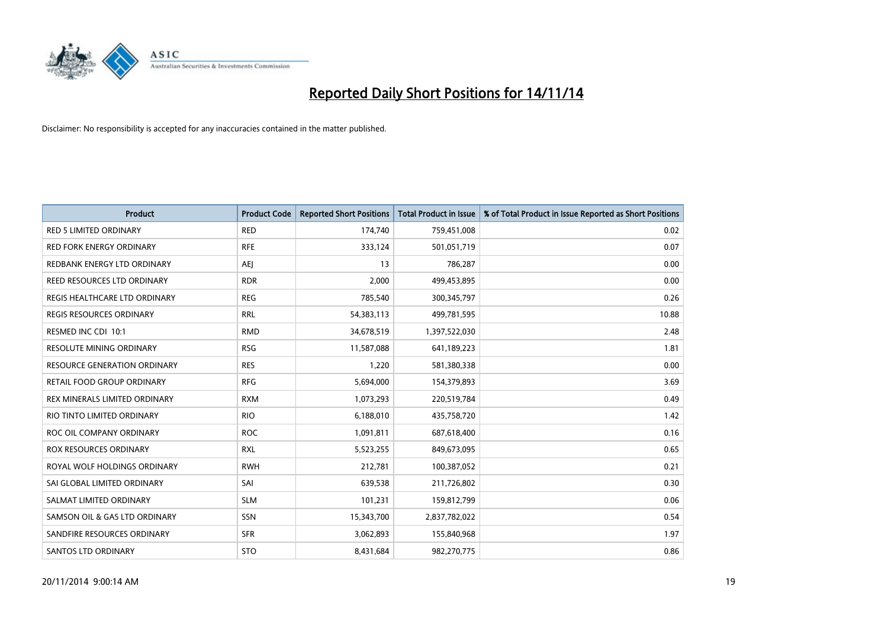

| <b>Product</b>                      | <b>Product Code</b> | <b>Reported Short Positions</b> | <b>Total Product in Issue</b> | % of Total Product in Issue Reported as Short Positions |
|-------------------------------------|---------------------|---------------------------------|-------------------------------|---------------------------------------------------------|
| <b>RED 5 LIMITED ORDINARY</b>       | <b>RED</b>          | 174,740                         | 759,451,008                   | 0.02                                                    |
| <b>RED FORK ENERGY ORDINARY</b>     | <b>RFE</b>          | 333,124                         | 501,051,719                   | 0.07                                                    |
| REDBANK ENERGY LTD ORDINARY         | AEJ                 | 13                              | 786,287                       | 0.00                                                    |
| REED RESOURCES LTD ORDINARY         | <b>RDR</b>          | 2,000                           | 499,453,895                   | 0.00                                                    |
| REGIS HEALTHCARE LTD ORDINARY       | <b>REG</b>          | 785,540                         | 300, 345, 797                 | 0.26                                                    |
| <b>REGIS RESOURCES ORDINARY</b>     | <b>RRL</b>          | 54,383,113                      | 499,781,595                   | 10.88                                                   |
| RESMED INC CDI 10:1                 | <b>RMD</b>          | 34,678,519                      | 1,397,522,030                 | 2.48                                                    |
| RESOLUTE MINING ORDINARY            | <b>RSG</b>          | 11,587,088                      | 641,189,223                   | 1.81                                                    |
| <b>RESOURCE GENERATION ORDINARY</b> | <b>RES</b>          | 1,220                           | 581,380,338                   | 0.00                                                    |
| <b>RETAIL FOOD GROUP ORDINARY</b>   | <b>RFG</b>          | 5,694,000                       | 154,379,893                   | 3.69                                                    |
| REX MINERALS LIMITED ORDINARY       | <b>RXM</b>          | 1,073,293                       | 220,519,784                   | 0.49                                                    |
| RIO TINTO LIMITED ORDINARY          | <b>RIO</b>          | 6,188,010                       | 435,758,720                   | 1.42                                                    |
| ROC OIL COMPANY ORDINARY            | <b>ROC</b>          | 1,091,811                       | 687,618,400                   | 0.16                                                    |
| ROX RESOURCES ORDINARY              | <b>RXL</b>          | 5,523,255                       | 849,673,095                   | 0.65                                                    |
| ROYAL WOLF HOLDINGS ORDINARY        | <b>RWH</b>          | 212,781                         | 100,387,052                   | 0.21                                                    |
| SAI GLOBAL LIMITED ORDINARY         | SAI                 | 639,538                         | 211,726,802                   | 0.30                                                    |
| SALMAT LIMITED ORDINARY             | <b>SLM</b>          | 101,231                         | 159,812,799                   | 0.06                                                    |
| SAMSON OIL & GAS LTD ORDINARY       | <b>SSN</b>          | 15,343,700                      | 2,837,782,022                 | 0.54                                                    |
| SANDFIRE RESOURCES ORDINARY         | <b>SFR</b>          | 3,062,893                       | 155,840,968                   | 1.97                                                    |
| <b>SANTOS LTD ORDINARY</b>          | <b>STO</b>          | 8,431,684                       | 982,270,775                   | 0.86                                                    |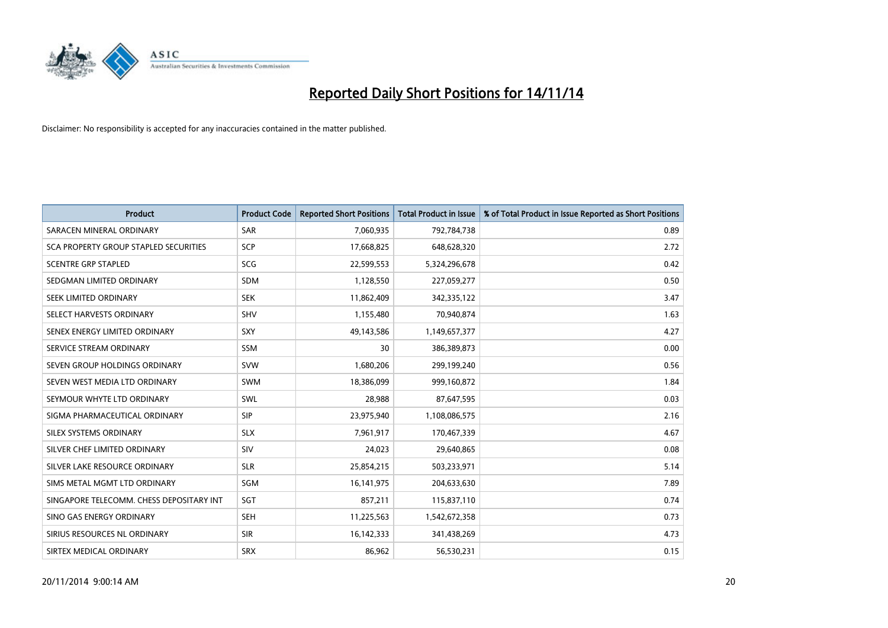

| <b>Product</b>                           | <b>Product Code</b> | <b>Reported Short Positions</b> | <b>Total Product in Issue</b> | % of Total Product in Issue Reported as Short Positions |
|------------------------------------------|---------------------|---------------------------------|-------------------------------|---------------------------------------------------------|
| SARACEN MINERAL ORDINARY                 | <b>SAR</b>          | 7,060,935                       | 792,784,738                   | 0.89                                                    |
| SCA PROPERTY GROUP STAPLED SECURITIES    | <b>SCP</b>          | 17,668,825                      | 648,628,320                   | 2.72                                                    |
| <b>SCENTRE GRP STAPLED</b>               | SCG                 | 22,599,553                      | 5,324,296,678                 | 0.42                                                    |
| SEDGMAN LIMITED ORDINARY                 | <b>SDM</b>          | 1,128,550                       | 227,059,277                   | 0.50                                                    |
| SEEK LIMITED ORDINARY                    | <b>SEK</b>          | 11,862,409                      | 342,335,122                   | 3.47                                                    |
| SELECT HARVESTS ORDINARY                 | SHV                 | 1,155,480                       | 70,940,874                    | 1.63                                                    |
| SENEX ENERGY LIMITED ORDINARY            | <b>SXY</b>          | 49,143,586                      | 1,149,657,377                 | 4.27                                                    |
| SERVICE STREAM ORDINARY                  | <b>SSM</b>          | 30                              | 386,389,873                   | 0.00                                                    |
| SEVEN GROUP HOLDINGS ORDINARY            | <b>SVW</b>          | 1,680,206                       | 299,199,240                   | 0.56                                                    |
| SEVEN WEST MEDIA LTD ORDINARY            | SWM                 | 18,386,099                      | 999,160,872                   | 1.84                                                    |
| SEYMOUR WHYTE LTD ORDINARY               | SWL                 | 28,988                          | 87,647,595                    | 0.03                                                    |
| SIGMA PHARMACEUTICAL ORDINARY            | <b>SIP</b>          | 23,975,940                      | 1,108,086,575                 | 2.16                                                    |
| SILEX SYSTEMS ORDINARY                   | <b>SLX</b>          | 7,961,917                       | 170,467,339                   | 4.67                                                    |
| SILVER CHEF LIMITED ORDINARY             | SIV                 | 24,023                          | 29,640,865                    | 0.08                                                    |
| SILVER LAKE RESOURCE ORDINARY            | <b>SLR</b>          | 25,854,215                      | 503,233,971                   | 5.14                                                    |
| SIMS METAL MGMT LTD ORDINARY             | SGM                 | 16, 141, 975                    | 204,633,630                   | 7.89                                                    |
| SINGAPORE TELECOMM. CHESS DEPOSITARY INT | SGT                 | 857,211                         | 115,837,110                   | 0.74                                                    |
| SINO GAS ENERGY ORDINARY                 | <b>SEH</b>          | 11,225,563                      | 1,542,672,358                 | 0.73                                                    |
| SIRIUS RESOURCES NL ORDINARY             | <b>SIR</b>          | 16,142,333                      | 341,438,269                   | 4.73                                                    |
| SIRTEX MEDICAL ORDINARY                  | <b>SRX</b>          | 86,962                          | 56,530,231                    | 0.15                                                    |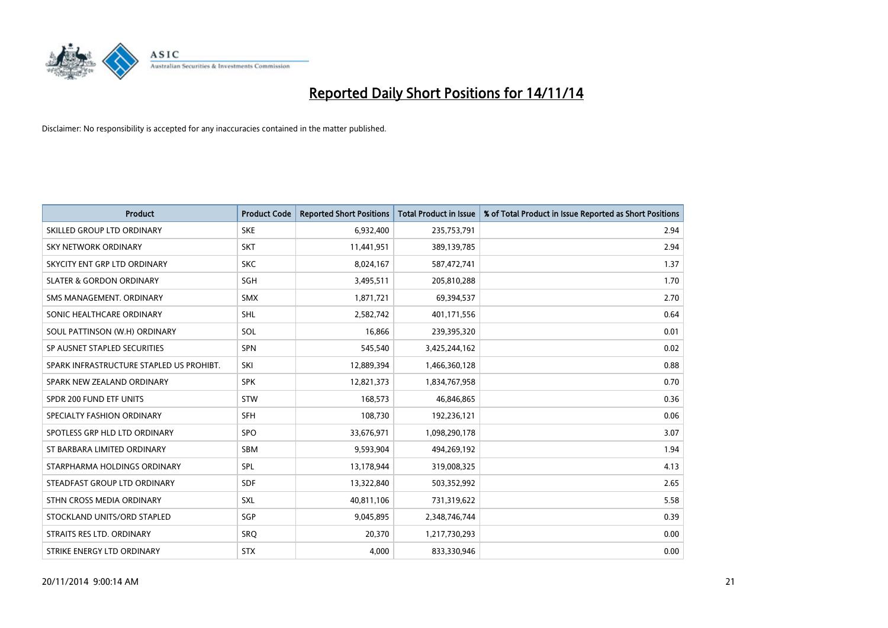

| <b>Product</b>                           | <b>Product Code</b> | <b>Reported Short Positions</b> | <b>Total Product in Issue</b> | % of Total Product in Issue Reported as Short Positions |
|------------------------------------------|---------------------|---------------------------------|-------------------------------|---------------------------------------------------------|
| SKILLED GROUP LTD ORDINARY               | <b>SKE</b>          | 6,932,400                       | 235,753,791                   | 2.94                                                    |
| SKY NETWORK ORDINARY                     | <b>SKT</b>          | 11,441,951                      | 389,139,785                   | 2.94                                                    |
| SKYCITY ENT GRP LTD ORDINARY             | <b>SKC</b>          | 8,024,167                       | 587,472,741                   | 1.37                                                    |
| <b>SLATER &amp; GORDON ORDINARY</b>      | SGH                 | 3,495,511                       | 205,810,288                   | 1.70                                                    |
| SMS MANAGEMENT, ORDINARY                 | SMX                 | 1,871,721                       | 69,394,537                    | 2.70                                                    |
| SONIC HEALTHCARE ORDINARY                | <b>SHL</b>          | 2,582,742                       | 401,171,556                   | 0.64                                                    |
| SOUL PATTINSON (W.H) ORDINARY            | SOL                 | 16,866                          | 239,395,320                   | 0.01                                                    |
| SP AUSNET STAPLED SECURITIES             | SPN                 | 545,540                         | 3,425,244,162                 | 0.02                                                    |
| SPARK INFRASTRUCTURE STAPLED US PROHIBT. | SKI                 | 12,889,394                      | 1,466,360,128                 | 0.88                                                    |
| SPARK NEW ZEALAND ORDINARY               | <b>SPK</b>          | 12,821,373                      | 1,834,767,958                 | 0.70                                                    |
| SPDR 200 FUND ETF UNITS                  | <b>STW</b>          | 168,573                         | 46,846,865                    | 0.36                                                    |
| SPECIALTY FASHION ORDINARY               | <b>SFH</b>          | 108,730                         | 192,236,121                   | 0.06                                                    |
| SPOTLESS GRP HLD LTD ORDINARY            | <b>SPO</b>          | 33,676,971                      | 1,098,290,178                 | 3.07                                                    |
| ST BARBARA LIMITED ORDINARY              | <b>SBM</b>          | 9,593,904                       | 494,269,192                   | 1.94                                                    |
| STARPHARMA HOLDINGS ORDINARY             | <b>SPL</b>          | 13,178,944                      | 319,008,325                   | 4.13                                                    |
| STEADFAST GROUP LTD ORDINARY             | SDF                 | 13,322,840                      | 503,352,992                   | 2.65                                                    |
| STHN CROSS MEDIA ORDINARY                | SXL                 | 40,811,106                      | 731,319,622                   | 5.58                                                    |
| STOCKLAND UNITS/ORD STAPLED              | SGP                 | 9,045,895                       | 2,348,746,744                 | 0.39                                                    |
| STRAITS RES LTD. ORDINARY                | SRO                 | 20,370                          | 1,217,730,293                 | 0.00                                                    |
| STRIKE ENERGY LTD ORDINARY               | <b>STX</b>          | 4,000                           | 833,330,946                   | 0.00                                                    |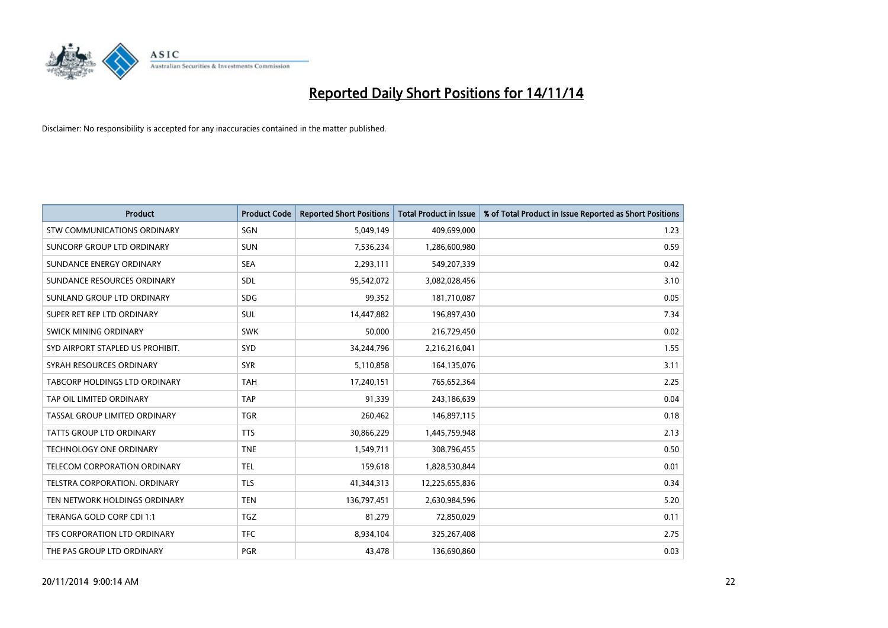

| <b>Product</b>                     | <b>Product Code</b> | <b>Reported Short Positions</b> | <b>Total Product in Issue</b> | % of Total Product in Issue Reported as Short Positions |
|------------------------------------|---------------------|---------------------------------|-------------------------------|---------------------------------------------------------|
| <b>STW COMMUNICATIONS ORDINARY</b> | SGN                 | 5,049,149                       | 409,699,000                   | 1.23                                                    |
| SUNCORP GROUP LTD ORDINARY         | <b>SUN</b>          | 7,536,234                       | 1,286,600,980                 | 0.59                                                    |
| SUNDANCE ENERGY ORDINARY           | <b>SEA</b>          | 2,293,111                       | 549,207,339                   | 0.42                                                    |
| SUNDANCE RESOURCES ORDINARY        | SDL                 | 95,542,072                      | 3,082,028,456                 | 3.10                                                    |
| SUNLAND GROUP LTD ORDINARY         | <b>SDG</b>          | 99,352                          | 181,710,087                   | 0.05                                                    |
| SUPER RET REP LTD ORDINARY         | <b>SUL</b>          | 14,447,882                      | 196,897,430                   | 7.34                                                    |
| SWICK MINING ORDINARY              | <b>SWK</b>          | 50,000                          | 216,729,450                   | 0.02                                                    |
| SYD AIRPORT STAPLED US PROHIBIT.   | <b>SYD</b>          | 34,244,796                      | 2,216,216,041                 | 1.55                                                    |
| SYRAH RESOURCES ORDINARY           | <b>SYR</b>          | 5,110,858                       | 164,135,076                   | 3.11                                                    |
| TABCORP HOLDINGS LTD ORDINARY      | <b>TAH</b>          | 17,240,151                      | 765,652,364                   | 2.25                                                    |
| TAP OIL LIMITED ORDINARY           | <b>TAP</b>          | 91,339                          | 243,186,639                   | 0.04                                                    |
| TASSAL GROUP LIMITED ORDINARY      | <b>TGR</b>          | 260,462                         | 146,897,115                   | 0.18                                                    |
| TATTS GROUP LTD ORDINARY           | <b>TTS</b>          | 30,866,229                      | 1,445,759,948                 | 2.13                                                    |
| <b>TECHNOLOGY ONE ORDINARY</b>     | <b>TNE</b>          | 1,549,711                       | 308,796,455                   | 0.50                                                    |
| TELECOM CORPORATION ORDINARY       | <b>TEL</b>          | 159,618                         | 1,828,530,844                 | 0.01                                                    |
| TELSTRA CORPORATION, ORDINARY      | <b>TLS</b>          | 41,344,313                      | 12,225,655,836                | 0.34                                                    |
| TEN NETWORK HOLDINGS ORDINARY      | <b>TEN</b>          | 136,797,451                     | 2,630,984,596                 | 5.20                                                    |
| TERANGA GOLD CORP CDI 1:1          | <b>TGZ</b>          | 81,279                          | 72,850,029                    | 0.11                                                    |
| TFS CORPORATION LTD ORDINARY       | <b>TFC</b>          | 8,934,104                       | 325,267,408                   | 2.75                                                    |
| THE PAS GROUP LTD ORDINARY         | PGR                 | 43,478                          | 136,690,860                   | 0.03                                                    |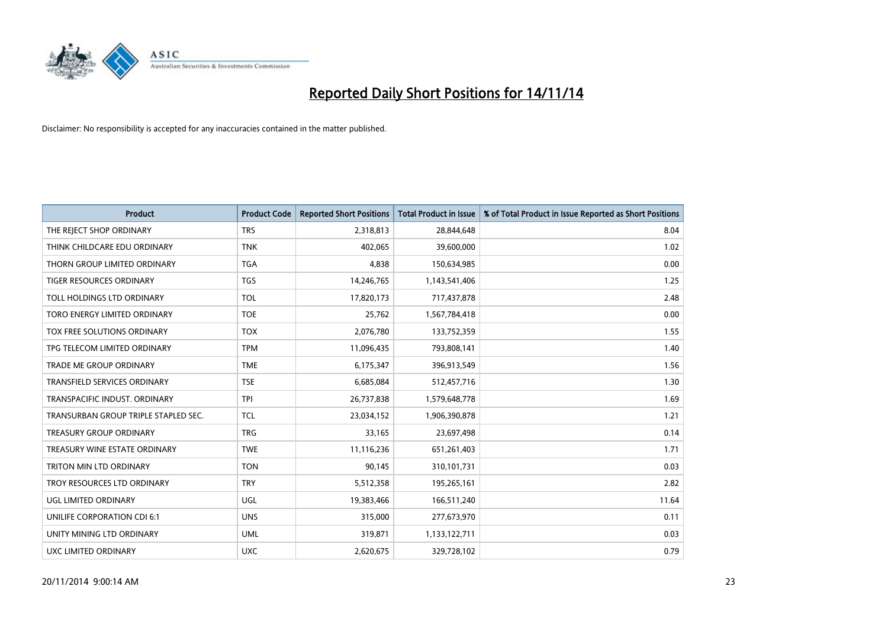

| <b>Product</b>                       | <b>Product Code</b> | <b>Reported Short Positions</b> | <b>Total Product in Issue</b> | % of Total Product in Issue Reported as Short Positions |
|--------------------------------------|---------------------|---------------------------------|-------------------------------|---------------------------------------------------------|
| THE REJECT SHOP ORDINARY             | <b>TRS</b>          | 2,318,813                       | 28,844,648                    | 8.04                                                    |
| THINK CHILDCARE EDU ORDINARY         | <b>TNK</b>          | 402,065                         | 39,600,000                    | 1.02                                                    |
| THORN GROUP LIMITED ORDINARY         | <b>TGA</b>          | 4,838                           | 150,634,985                   | 0.00                                                    |
| TIGER RESOURCES ORDINARY             | <b>TGS</b>          | 14,246,765                      | 1,143,541,406                 | 1.25                                                    |
| TOLL HOLDINGS LTD ORDINARY           | <b>TOL</b>          | 17,820,173                      | 717,437,878                   | 2.48                                                    |
| TORO ENERGY LIMITED ORDINARY         | <b>TOE</b>          | 25,762                          | 1,567,784,418                 | 0.00                                                    |
| TOX FREE SOLUTIONS ORDINARY          | <b>TOX</b>          | 2,076,780                       | 133,752,359                   | 1.55                                                    |
| TPG TELECOM LIMITED ORDINARY         | <b>TPM</b>          | 11,096,435                      | 793,808,141                   | 1.40                                                    |
| <b>TRADE ME GROUP ORDINARY</b>       | <b>TME</b>          | 6,175,347                       | 396,913,549                   | 1.56                                                    |
| <b>TRANSFIELD SERVICES ORDINARY</b>  | <b>TSE</b>          | 6,685,084                       | 512,457,716                   | 1.30                                                    |
| TRANSPACIFIC INDUST. ORDINARY        | <b>TPI</b>          | 26,737,838                      | 1,579,648,778                 | 1.69                                                    |
| TRANSURBAN GROUP TRIPLE STAPLED SEC. | <b>TCL</b>          | 23,034,152                      | 1,906,390,878                 | 1.21                                                    |
| TREASURY GROUP ORDINARY              | <b>TRG</b>          | 33,165                          | 23,697,498                    | 0.14                                                    |
| TREASURY WINE ESTATE ORDINARY        | <b>TWE</b>          | 11,116,236                      | 651,261,403                   | 1.71                                                    |
| <b>TRITON MIN LTD ORDINARY</b>       | <b>TON</b>          | 90,145                          | 310,101,731                   | 0.03                                                    |
| TROY RESOURCES LTD ORDINARY          | <b>TRY</b>          | 5,512,358                       | 195,265,161                   | 2.82                                                    |
| UGL LIMITED ORDINARY                 | UGL                 | 19,383,466                      | 166,511,240                   | 11.64                                                   |
| UNILIFE CORPORATION CDI 6:1          | <b>UNS</b>          | 315,000                         | 277,673,970                   | 0.11                                                    |
| UNITY MINING LTD ORDINARY            | <b>UML</b>          | 319,871                         | 1,133,122,711                 | 0.03                                                    |
| UXC LIMITED ORDINARY                 | <b>UXC</b>          | 2,620,675                       | 329,728,102                   | 0.79                                                    |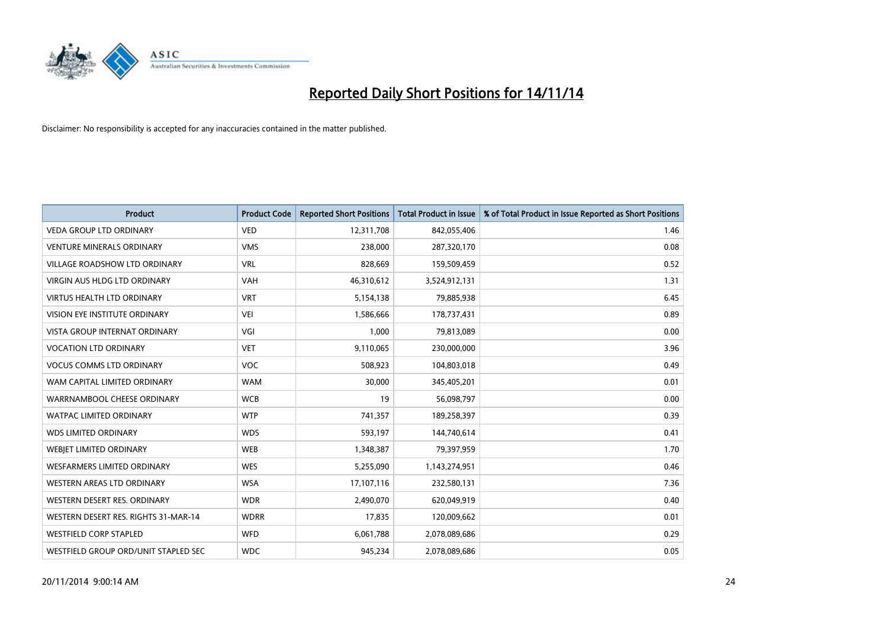

| <b>Product</b>                       | <b>Product Code</b> | <b>Reported Short Positions</b> | <b>Total Product in Issue</b> | % of Total Product in Issue Reported as Short Positions |
|--------------------------------------|---------------------|---------------------------------|-------------------------------|---------------------------------------------------------|
| <b>VEDA GROUP LTD ORDINARY</b>       | <b>VED</b>          | 12,311,708                      | 842,055,406                   | 1.46                                                    |
| <b>VENTURE MINERALS ORDINARY</b>     | <b>VMS</b>          | 238,000                         | 287,320,170                   | 0.08                                                    |
| <b>VILLAGE ROADSHOW LTD ORDINARY</b> | <b>VRL</b>          | 828,669                         | 159,509,459                   | 0.52                                                    |
| <b>VIRGIN AUS HLDG LTD ORDINARY</b>  | <b>VAH</b>          | 46,310,612                      | 3,524,912,131                 | 1.31                                                    |
| <b>VIRTUS HEALTH LTD ORDINARY</b>    | <b>VRT</b>          | 5,154,138                       | 79,885,938                    | 6.45                                                    |
| VISION EYE INSTITUTE ORDINARY        | <b>VEI</b>          | 1,586,666                       | 178,737,431                   | 0.89                                                    |
| <b>VISTA GROUP INTERNAT ORDINARY</b> | VGI                 | 1,000                           | 79,813,089                    | 0.00                                                    |
| <b>VOCATION LTD ORDINARY</b>         | <b>VET</b>          | 9,110,065                       | 230,000,000                   | 3.96                                                    |
| <b>VOCUS COMMS LTD ORDINARY</b>      | VOC                 | 508,923                         | 104,803,018                   | 0.49                                                    |
| WAM CAPITAL LIMITED ORDINARY         | <b>WAM</b>          | 30,000                          | 345,405,201                   | 0.01                                                    |
| WARRNAMBOOL CHEESE ORDINARY          | <b>WCB</b>          | 19                              | 56,098,797                    | 0.00                                                    |
| <b>WATPAC LIMITED ORDINARY</b>       | <b>WTP</b>          | 741,357                         | 189,258,397                   | 0.39                                                    |
| <b>WDS LIMITED ORDINARY</b>          | <b>WDS</b>          | 593,197                         | 144,740,614                   | 0.41                                                    |
| WEBIET LIMITED ORDINARY              | <b>WEB</b>          | 1,348,387                       | 79,397,959                    | 1.70                                                    |
| <b>WESFARMERS LIMITED ORDINARY</b>   | <b>WES</b>          | 5,255,090                       | 1,143,274,951                 | 0.46                                                    |
| <b>WESTERN AREAS LTD ORDINARY</b>    | <b>WSA</b>          | 17,107,116                      | 232,580,131                   | 7.36                                                    |
| WESTERN DESERT RES. ORDINARY         | <b>WDR</b>          | 2,490,070                       | 620,049,919                   | 0.40                                                    |
| WESTERN DESERT RES. RIGHTS 31-MAR-14 | <b>WDRR</b>         | 17,835                          | 120,009,662                   | 0.01                                                    |
| WESTFIELD CORP STAPLED               | <b>WFD</b>          | 6,061,788                       | 2,078,089,686                 | 0.29                                                    |
| WESTFIELD GROUP ORD/UNIT STAPLED SEC | <b>WDC</b>          | 945,234                         | 2,078,089,686                 | 0.05                                                    |